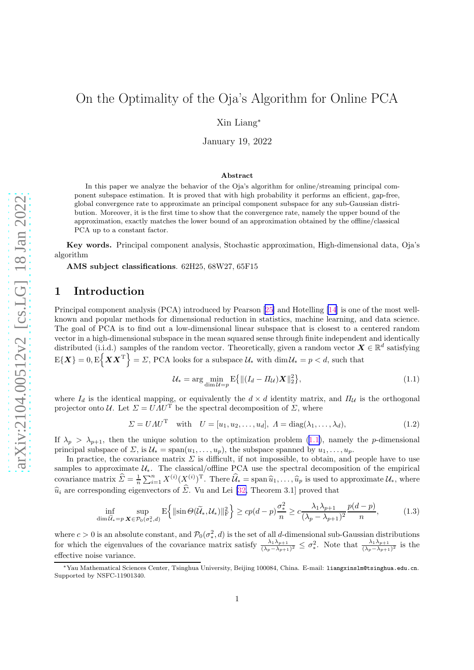# <span id="page-0-0"></span>On the Optimality of the Oja's Algorithm for Online PCA

Xin Liang<sup>∗</sup>

January 19, 2022

#### Abstract

In this paper we analyze the behavior of the Oja's algorithm for online/streaming principal component subspace estimation. It is proved that with high probability it performs an efficient, gap-free, global convergence rate to approximate an principal component subspace for any sub-Gaussian distribution. Moreover, it is the first time to show that the convergence rate, namely the upper bound of the approximation, exactly matches the lower bound of an approximation obtained by the offline/classical PCA up to a constant factor.

Key words. Principal component analysis, Stochastic approximation, High-dimensional data, Oja's algorithm

AMS subject classifications. 62H25, 68W27, 65F15

# 1 Introduction

Principal component analysis (PCA) introduced by Pearson[[25\]](#page-24-0) and Hotelling [\[14](#page-23-0)] is one of the most wellknown and popular methods for dimensional reduction in statistics, machine learning, and data science. The goal of PCA is to find out a low-dimensional linear subspace that is closest to a centered random vector in a high-dimensional subspace in the mean squared sense through finite independent and identically distributed (i.i.d.) samples of the random vector. Theoretically, given a random vector  $\mathbf{X} \in \mathbb{R}^d$  satisfying  $\mathrm{E}\{\boldsymbol{X}\boldsymbol{X}^{\mathrm{T}}\}= \mathcal{D}, \, \mathrm{PCA} \text{ looks for a subspace } \mathcal{U}_{*} \text{ with } \dim \mathcal{U}_{*} = p < d, \text{ such that }$ 

$$
\mathcal{U}_{*} = \arg\min_{\dim\mathcal{U}=p} \mathbb{E}\left\{ \left\| (I_d - \varPi_{\mathcal{U}}) \mathbf{X} \right\|_{2}^{2} \right\},\tag{1.1}
$$

where  $I_d$  is the identical mapping, or equivalently the  $d \times d$  identity matrix, and  $\Pi_u$  is the orthogonal projector onto U. Let  $\Sigma = \overline{U A U^T}$  be the spectral decomposition of  $\Sigma$ , where

$$
\Sigma = U \Lambda U^{\mathrm{T}} \quad \text{with} \quad U = [u_1, u_2, \dots, u_d], \quad \Lambda = \text{diag}(\lambda_1, \dots, \lambda_d), \tag{1.2}
$$

If  $\lambda_p > \lambda_{p+1}$ , then the unique solution to the optimization problem (1.1), namely the p-dimensional principal subspace of  $\Sigma$ , is  $\mathcal{U}_* = \text{span}(u_1, \ldots, u_p)$ , the subspace spanned by  $u_1, \ldots, u_p$ .

In practice, the covariance matrix  $\Sigma$  is difficult, if not impossible, to obtain, and people have to use samples to approximate  $U_*$ . The classical/offline PCA use the spectral decomposition of the empirical covariance matrix  $\hat{\Sigma} = \frac{1}{n} \sum_{i=1}^n X^{(i)} (X^{(i)})^{\mathrm{T}}$ . There  $\hat{\mathcal{U}}_* = \text{span} \hat{u}_1, \dots, \hat{u}_p$  is used to approximate  $\mathcal{U}_*$ , where  $\hat{u}_i$  are corresponding eigenvectors of  $\hat{\Sigma}$ . Vu and Lei [\[32,](#page-24-0) Theorem 3.1] proved that

$$
\inf_{\dim \widetilde{\mathcal{U}}_* = p} \sup_{\mathbf{X} \in \mathcal{P}_0(\sigma^2_*, d)} \mathbb{E} \left\{ \| \sin \Theta(\widetilde{\mathcal{U}}_*, \mathcal{U}_*) \|_{\mathcal{F}}^2 \right\} \ge c p(d-p) \frac{\sigma^2_*}{n} \ge c \frac{\lambda_1 \lambda_{p+1}}{(\lambda_p - \lambda_{p+1})^2} \frac{p(d-p)}{n},\tag{1.3}
$$

where  $c > 0$  is an absolute constant, and  $\mathcal{P}_0(\sigma_*^2)$  $(x^2, d)$  is the set of all d-dimensional sub-Gaussian distributions for which the eigenvalues of the covariance matrix satisfy  $\frac{\lambda_1 \lambda_{p+1}}{(\lambda_p - \lambda_{p+1})^2} \leq \sigma_*^2$ <sup>2</sup>. Note that  $\frac{\lambda_1 \lambda_{p+1}}{(\lambda_p - \lambda_{p+1})^2}$  is the effective noise variance.

<sup>∗</sup>Yau Mathematical Sciences Center, Tsinghua University, Beijing 100084, China. E-mail: liangxinslm@tsinghua.edu.cn. Supported by NSFC-11901340.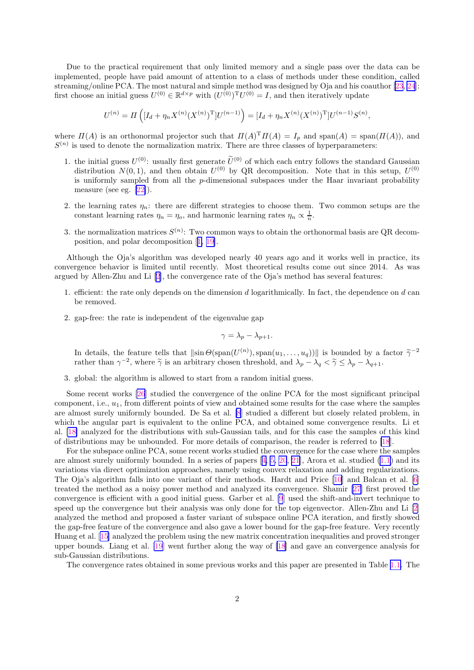Due to the practical requirement that only limited memory and a single pass over the data can be implemented, people have paid amount of attention to a class of methods under these condition, called streaming/online PCA. The most natural and simple method was designed by Oja and his coauthor [\[23](#page-24-0), [24](#page-24-0)]: first choose an initial guess  $U^{(0)} \in \mathbb{R}^{d \times p}$  with  $(U^{(0)})^T U^{(0)} = I$ , and then iteratively update

$$
U^{(n)} = \Pi\left( [I_d + \eta_n X^{(n)} (X^{(n)})^{\mathrm{T}}] U^{(n-1)} \right) = [I_d + \eta_n X^{(n)} (X^{(n)})^{\mathrm{T}}] U^{(n-1)} S^{(n)},
$$

where  $\Pi(A)$  is an orthonormal projector such that  $\Pi(A)^{\mathrm{T}}\Pi(A) = I_p$  and  $\text{span}(A) = \text{span}(\Pi(A))$ , and  $S^{(n)}$  is used to denote the normalization matrix. There are three classes of hyperparameters:

- 1. the initial guess  $U^{(0)}$ : usually first generate  $\tilde{U}^{(0)}$  of which each entry follows the standard Gaussian distribution  $N(0, 1)$ , and then obtain  $U^{(0)}$  by QR decomposition. Note that in this setup,  $U^{(0)}$ is uniformly sampled from all the  $p$ -dimensional subspaces under the Haar invariant probability measure (see eg. [\[22\]](#page-24-0)).
- 2. the learning rates  $\eta_n$ : there are different strategies to choose them. Two common setups are the constant learning rates  $\eta_n = \eta_o$ , and harmonic learning rates  $\eta_n \propto \frac{1}{n}$ .
- 3. the normalization matrices  $S^{(n)}$ : Two common ways to obtain the orthonormal basis are QR decomposition, and polar decomposition[[1,](#page-23-0) [19\]](#page-24-0).

Although the Oja's algorithm was developed nearly 40 years ago and it works well in practice, its convergence behavior is limited until recently. Most theoretical results come out since 2014. As was argued by Allen-Zhu and Li[[2\]](#page-23-0), the convergence rate of the Oja's method has several features:

- 1. efficient: the rate only depends on the dimension d logarithmically. In fact, the dependence on d can be removed.
- 2. gap-free: the rate is independent of the eigenvalue gap

$$
\gamma = \lambda_p - \lambda_{p+1}.
$$

In details, the feature tells that  $\left\|\sin\Theta(\text{span}(U^{(n)}),\text{span}(u_1,\ldots,u_q))\right\|$  is bounded by a factor  $\tilde{\gamma}^{-2}$ rather than  $\gamma^{-2}$ , where  $\tilde{\gamma}$  is an arbitrary chosen threshold, and  $\lambda_p - \lambda_q < \tilde{\gamma} \leq \lambda_p - \lambda_{q+1}$ .

3. global: the algorithm is allowed to start from a random initial guess.

Some recent works [\[26](#page-24-0)] studied the convergence of the online PCA for the most significant principal component, i.e.,  $u_1$ , from different points of view and obtained some results for the case where the samples are almost surely uniformly bounded. De Sa et al. [\[8](#page-23-0)] studied a different but closely related problem, in which the angular part is equivalent to the online PCA, and obtained some convergence results. Li et al. [\[18\]](#page-23-0) analyzed for the distributions with sub-Gaussian tails, and for this case the samples of this kind of distributions may be unbounded. For more details of comparison, the reader is referred to [\[18](#page-23-0)].

For the subspace online PCA, some recent works studied the convergence for the case where the samples arealmost surely uniformly bounded. In a series of papers  $[4, 5, 20, 21]$  $[4, 5, 20, 21]$  $[4, 5, 20, 21]$  $[4, 5, 20, 21]$  $[4, 5, 20, 21]$  $[4, 5, 20, 21]$  $[4, 5, 20, 21]$  $[4, 5, 20, 21]$  $[4, 5, 20, 21]$ , Arora et al. studied  $(1.1)$  and its variations via direct optimization approaches, namely using convex relaxation and adding regularizations. The Oja's algorithm falls into one variant of their methods. Hardt and Price [\[10](#page-23-0)] and Balcan et al. [\[6](#page-23-0)] treated the method as a noisy power method and analyzed its convergence. Shamir [\[27](#page-24-0)] first proved the convergence is efficient with a good initial guess. Garber et al. [\[9](#page-23-0)] used the shift-and-invert technique to speed up the convergence but their analysis was only done for the top eigenvector. Allen-Zhu and Li [\[2](#page-23-0)] analyzed the method and proposed a faster variant of subspace online PCA iteration, and firstly showed the gap-free feature of the convergence and also gave a lower bound for the gap-free feature. Very recently Huang et al.[[15\]](#page-23-0) analyzed the problem using the new matrix concentration inequalities and proved stronger upper bounds. Liang et al. [\[19](#page-24-0)] went further along the way of [\[18](#page-23-0)] and gave an convergence analysis for sub-Gaussian distributions.

The convergence rates obtained in some previous works and this paper are presented in Table [1.1.](#page-2-0) The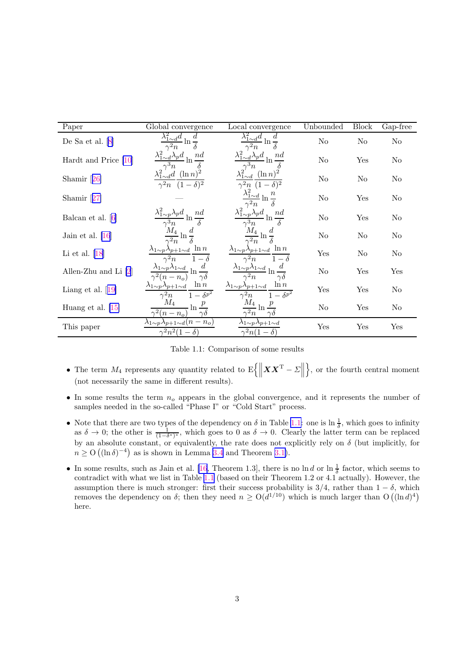<span id="page-2-0"></span>

| Paper                  | Global convergence                                                                    | Local convergence                                                                     | Unbounded      | Block    | Gap-free       |
|------------------------|---------------------------------------------------------------------------------------|---------------------------------------------------------------------------------------|----------------|----------|----------------|
| De Sa et al. $[8]$     | ln                                                                                    |                                                                                       | $\rm No$       | $\rm No$ | $\rm No$       |
| Hardt and Price $[10]$ | n d<br>$\lambda_p d$                                                                  | $^{nd}$<br>$\ln$                                                                      | No             | Yes      | No             |
| Shamir $[26]$          | $\lambda_{1\sim d}^2 d \ \ (\ln n)^2$<br>$\overline{\gamma^2}n$ $(1-\delta)^2$        | $(\ln n)^2$<br>$(\delta)^2$                                                           | N <sub>o</sub> | No       | No             |
| Shamir $[27]$          |                                                                                       |                                                                                       | No             | Yes      | No             |
| Balcan et al. $[6]$    | $\lambda_{1\sim p}^2\lambda_p d$<br>nd                                                | $\lambda_{1\sim p}^2\lambda_p d$<br>nd                                                | No             | Yes      | No             |
| Jain et al. $[16]$     | $\boldsymbol{d}$<br>$\ln \frac{\pi}{\delta}$                                          | ln                                                                                    | No             | No       | N <sub>o</sub> |
| Li et al. $[18]$       | $\ln n$<br>$\lambda_{1\sim p}\lambda_{p+1\sim d}$<br>$\gamma^2 n$<br>$1-\delta$       | $\ln n$<br>$\lambda_{1\sim p}\lambda_{p+1\sim d}$<br>$\gamma^2 n$<br>$1-\delta$       | Yes            | No       | N <sub>o</sub> |
| Allen-Zhu and Li $[2]$ | $\lambda_{1\sim p} \lambda_{1\sim d}$<br>$\ln$<br>$\gamma\delta$<br>$n - n_o$         | $\lambda_{1\sim p}\underline{\lambda_{1\sim d}}$ ln<br>$\gamma\delta$                 | No             | Yes      | Yes            |
| Liang et al. $[19]$    | $\ln n$<br>$\lambda_{1\sim p}\lambda_{p+1\sim d}$<br>$1-\delta^{p^2}$<br>$\gamma^2 n$ | $\ln n$<br>$\lambda_{1\sim p}\lambda_{p+1\sim d}$<br>$1-\delta^{p^2}$<br>$\gamma^2 n$ | Yes            | Yes      | No             |
| Huang et al. $ 15 $    | $M_{\rm 4}$<br>$\ln\frac{p}{\tau}$<br>$\gamma^2(n-n_o)$<br>$\gamma \delta$            | $M_{\rm 4}$<br>$\ln$<br>$\overline{\gamma^2 n}$                                       | No             | Yes      | No             |
| This paper             | $\lambda_{1\sim p}\lambda_{p+1\sim d}(n-n_o)$<br>$\gamma^2 n^2(1-\delta)$             | $\lambda_{1\sim p}\lambda_{p+1\sim d}$<br>$\gamma^2 n(1-\delta)$                      | Yes            | Yes      | Yes            |

|  |  | Table 1.1: Comparison of some results |  |  |
|--|--|---------------------------------------|--|--|
|--|--|---------------------------------------|--|--|

- The term  $M_4$  represents any quantity related to  $\mathbb{E}\left\{\|\boldsymbol{X}\boldsymbol{X}^{\mathrm{T}}-\boldsymbol{\Sigma}\right\|$  $\}$ , or the fourth central moment (not necessarily the same in different results).
- In some results the term  $n<sub>o</sub>$  appears in the global convergence, and it represents the number of samples needed in the so-called "Phase I" or "Cold Start" process.
- Note that there are two types of the dependency on  $\delta$  in Table 1.1: one is  $\ln \frac{1}{\delta}$ , which goes to infinity as  $\delta \to 0$ ; the other is  $\frac{1}{(1-\delta^*)^*}$ , which goes to 0 as  $\delta \to 0$ . Clearly the latter term can be replaced by an absolute constant, or equivalently, the rate does not explicitly rely on  $\delta$  (but implicitly, for  $n \geq O((\ln \delta)^{-4})$  as is shown in Lemma [3.4](#page-9-0) and Theorem [3.1\)](#page-10-0).
- In some results, such as Jain et al. [\[16](#page-23-0), Theorem 1.3], there is no  $\ln d$  or  $\ln \frac{1}{\delta}$  factor, which seems to contradict with what we list in Table 1.1 (based on their Theorem 1.2 or 4.1 actually). However, the assumption there is much stronger: first their success probability is  $3/4$ , rather than  $1 - \delta$ , which removes the dependency on  $\delta$ ; then they need  $n \ge O(d^{1/10})$  which is much larger than  $O((\ln d)^4)$ here.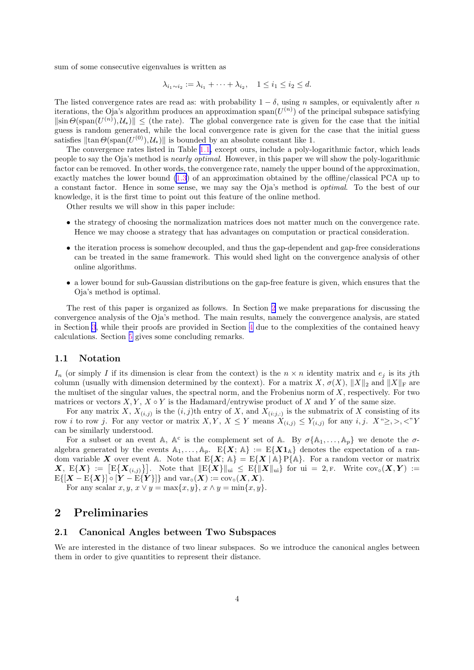sum of some consecutive eigenvalues is written as

$$
\lambda_{i_1 \sim i_2} := \lambda_{i_1} + \cdots + \lambda_{i_2}, \quad 1 \leq i_1 \leq i_2 \leq d.
$$

The listed convergence rates are read as: with probability  $1 - \delta$ , using n samples, or equivalently after n iterations, the Oja's algorithm produces an approximation span $(U^{(n)})$  of the principal subspace satisfying  $\|\sin\Theta(\text{span}(U^{(n)}),\mathcal{U}_*)\|\leq$  (the rate). The global convergence rate is given for the case that the initial guess is random generated, while the local convergence rate is given for the case that the initial guess satisfies  $\|\tan \Theta(\text{span}(U^{(0)}), \mathcal{U}_*)\|$  is bounded by an absolute constant like 1.

The convergence rates listed in Table [1.1,](#page-2-0) except ours, include a poly-logarithmic factor, which leads people to say the Oja's method is *nearly optimal*. However, in this paper we will show the poly-logarithmic factor can be removed. In other words, the convergence rate, namely the upper bound of the approximation, exactly matches the lower bound [\(1.3](#page-0-0)) of an approximation obtained by the offline/classical PCA up to a constant factor. Hence in some sense, we may say the Oja's method is *optimal*. To the best of our knowledge, it is the first time to point out this feature of the online method.

Other results we will show in this paper include:

- the strategy of choosing the normalization matrices does not matter much on the convergence rate. Hence we may choose a strategy that has advantages on computation or practical consideration.
- the iteration process is somehow decoupled, and thus the gap-dependent and gap-free considerations can be treated in the same framework. This would shed light on the convergence analysis of other online algorithms.
- a lower bound for sub-Gaussian distributions on the gap-free feature is given, which ensures that the Oja's method is optimal.

The rest of this paper is organized as follows. In Section 2 we make preparations for discussing the convergence analysis of the Oja's method. The main results, namely the convergence analysis, are stated in Section [3](#page-7-0), while their proofs are provided in Section [4](#page-12-0) due to the complexities of the contained heavy calculations. Section [5](#page-22-0) gives some concluding remarks.

#### 1.1 Notation

 $I_n$  (or simply I if its dimension is clear from the context) is the  $n \times n$  identity matrix and  $e_j$  is its jth column (usually with dimension determined by the context). For a matrix X,  $\sigma(X)$ ,  $||X||_2$  and  $||X||_F$  are the multiset of the singular values, the spectral norm, and the Frobenius norm of  $X$ , respectively. For two matrices or vectors  $X, Y, X \circ Y$  is the Hadamard/entrywise product of X and Y of the same size.

For any matrix X,  $X_{(i,j)}$  is the  $(i, j)$ th entry of X, and  $X_{(i:j,:)}$  is the submatrix of X consisting of its row *i* to row *j*. For any vector or matrix  $X, Y, X \leq Y$  means  $X_{(i,j)} \leq Y_{(i,j)}$  for any *i*, *j.*  $X \geq, \lt, "Y$ can be similarly understood.

For a subset or an event A,  $A^c$  is the complement set of A. By  $\sigma\{A_1,\ldots,A_p\}$  we denote the  $\sigma$ algebra generated by the events  $A_1, \ldots, A_p$ .  $E\{X; A\} := E\{X\mathbf{1}_A\}$  denotes the expectation of a random variable X over event A. Note that  $E\{X; A\} = E\{X | A\}P{A}$ . For a random vector or matrix  $X, E\{X\} := [E\{X_{(i,j)}\}]$ . Note that  $||E\{X\}||_{\text{ui}} \leq E\{||X||_{\text{ui}}\}$  for  $\text{ui} = 2, F$ . Write  $\text{cov}_{\circ}(X, Y) :=$  $E\{[\boldsymbol{X} - E\{\boldsymbol{X}\}] \circ [\boldsymbol{Y} - E\{\boldsymbol{Y}\}] \}$  and  $var_{\circ}(\boldsymbol{X}) := cov_{\circ}(\boldsymbol{X}, \boldsymbol{X}).$ 

For any scalar  $x, y, x \vee y = \max\{x, y\}, x \wedge y = \min\{x, y\}.$ 

## 2 Preliminaries

### 2.1 Canonical Angles between Two Subspaces

We are interested in the distance of two linear subspaces. So we introduce the canonical angles between them in order to give quantities to represent their distance.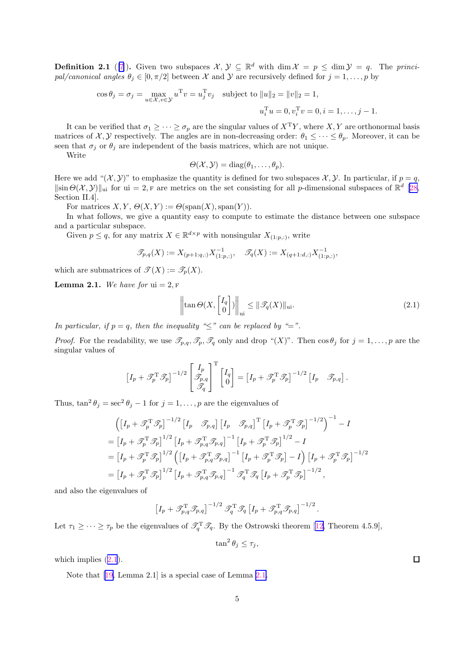<span id="page-4-0"></span>**Definition 2.1** ([\[7](#page-23-0)]). Given two subspaces  $\mathcal{X}, \mathcal{Y} \subseteq \mathbb{R}^d$  with dim  $\mathcal{X} = p \leq \dim \mathcal{Y} = q$ . The *principal/canonical angles*  $\theta_j \in [0, \pi/2]$  between X and Y are recursively defined for  $j = 1, \ldots, p$  by

$$
\cos \theta_j = \sigma_j = \max_{u \in \mathcal{X}, v \in \mathcal{Y}} u^{\mathrm{T}} v = u_j^{\mathrm{T}} v_j \text{ subject to } ||u||_2 = ||v||_2 = 1,u_i^{\mathrm{T}} u = 0, v_i^{\mathrm{T}} v = 0, i = 1, \dots, j - 1.
$$

It can be verified that  $\sigma_1 \geq \cdots \geq \sigma_p$  are the singular values of  $X^T Y$ , where  $X, Y$  are orthonormal basis matrices of  $\mathcal{X}, \mathcal{Y}$  respectively. The angles are in non-decreasing order:  $\theta_1 \leq \cdots \leq \theta_p$ . Moreover, it can be seen that  $\sigma_j$  or  $\theta_j$  are independent of the basis matrices, which are not unique.

Write

$$
\Theta(\mathcal{X},\mathcal{Y})=\mathrm{diag}(\theta_1,\ldots,\theta_p).
$$

Here we add " $(\mathcal{X}, \mathcal{Y})$ " to emphasize the quantity is defined for two subspaces  $\mathcal{X}, \mathcal{Y}$ . In particular, if  $p = q$ ,  $\|\sin\Theta(\mathcal{X},\mathcal{Y})\|_{\text{ui}}$  for ui = 2, F are metrics on the set consisting for all p-dimensional subspaces of  $\mathbb{R}^d$  [\[28](#page-24-0), Section II.4].

For matrices  $X, Y, \Theta(X, Y) := \Theta(\text{span}(X), \text{span}(Y)).$ 

In what follows, we give a quantity easy to compute to estimate the distance between one subspace and a particular subspace.

Given  $p \leq q$ , for any matrix  $X \in \mathbb{R}^{d \times p}$  with nonsingular  $X_{(1:p,:)}$ , write

$$
\mathcal{T}_{p,q}(X) := X_{(p+1;q,:)} X_{(1:p,:)}^{-1}, \quad \mathcal{T}_q(X) := X_{(q+1:d,:)} X_{(1:p,:)}^{-1},
$$

which are submatrices of  $\mathscr{T}(X) := \mathscr{T}_p(X)$ .

**Lemma 2.1.** We have for  $ui = 2$ , F

$$
\left\| \tan \Theta\big(X, \begin{bmatrix} I_q \\ 0 \end{bmatrix}\big) \right\|_{\text{ui}} \le \|\mathcal{T}_q(X)\|_{\text{ui}}.\tag{2.1}
$$

*In particular, if*  $p = q$ *, then the inequality "*≤" *can be replaced by "*=".

*Proof.* For the readability, we use  $\mathscr{T}_{p,q}, \mathscr{T}_p, \mathscr{T}_q$  only and drop " $(X)$ ". Then  $\cos \theta_j$  for  $j = 1, \ldots, p$  are the singular values of

$$
\left[I_p + \mathscr{T}_p^{\mathrm{T}} \mathscr{T}_p\right]^{-1/2} \begin{bmatrix} I_p \\ \mathscr{T}_{p,q} \\ \mathscr{T}_q \end{bmatrix}^{\mathrm{T}} \begin{bmatrix} I_q \\ 0 \end{bmatrix} = \left[I_p + \mathscr{T}_p^{\mathrm{T}} \mathscr{T}_p\right]^{-1/2} \begin{bmatrix} I_p & \mathscr{T}_{p,q} \end{bmatrix}.
$$

Thus,  $\tan^2 \theta_j = \sec^2 \theta_j - 1$  for  $j = 1, ..., p$  are the eigenvalues of

$$
\left( \left[ I_p + \mathcal{T}_p^{\mathrm{T}} \mathcal{T}_p \right]^{-1/2} \left[ I_p - \mathcal{T}_{p,q} \right] \left[ I_p - \mathcal{T}_{p,q} \right]^\mathrm{T} \left[ I_p + \mathcal{T}_p^{\mathrm{T}} \mathcal{T}_p \right]^{-1/2} \right)^{-1} - I
$$
\n
$$
= \left[ I_p + \mathcal{T}_p^{\mathrm{T}} \mathcal{T}_p \right]^{1/2} \left[ I_p + \mathcal{T}_{p,q}^{\mathrm{T}} \mathcal{T}_{p,q} \right]^{-1} \left[ I_p + \mathcal{T}_p^{\mathrm{T}} \mathcal{T}_p \right]^{1/2} - I
$$
\n
$$
= \left[ I_p + \mathcal{T}_p^{\mathrm{T}} \mathcal{T}_p \right]^{1/2} \left( \left[ I_p + \mathcal{T}_{p,q}^{\mathrm{T}} \mathcal{T}_{p,q} \right]^{-1} \left[ I_p + \mathcal{T}_p^{\mathrm{T}} \mathcal{T}_p \right] - I \right) \left[ I_p + \mathcal{T}_p^{\mathrm{T}} \mathcal{T}_p \right]^{-1/2}
$$
\n
$$
= \left[ I_p + \mathcal{T}_p^{\mathrm{T}} \mathcal{T}_p \right]^{1/2} \left[ I_p + \mathcal{T}_{p,q}^{\mathrm{T}} \mathcal{T}_{p,q} \right]^{-1} \mathcal{T}_q^{\mathrm{T}} \mathcal{T}_q \left[ I_p + \mathcal{T}_p^{\mathrm{T}} \mathcal{T}_p \right]^{-1/2},
$$

and also the eigenvalues of

$$
\left[I_p + \mathscr{T}_{p,q}^{\mathrm{T}} \mathscr{T}_{p,q}\right]^{-1/2} \mathscr{T}_q^{\mathrm{T}} \mathscr{T}_q \left[I_p + \mathscr{T}_{p,q}^{\mathrm{T}} \mathscr{T}_{p,q}\right]^{-1/2}.
$$

Let $\tau_1 \geq \cdots \geq \tau_p$  be the eigenvalues of  $\mathscr{T}_q^T \mathscr{T}_q$ . By the Ostrowski theorem [[12,](#page-23-0) Theorem 4.5.9],

$$
\tan^2 \theta_j \le \tau_j,
$$

which implies  $(2.1)$ .

Note that[[19,](#page-24-0) Lemma 2.1] is a special case of Lemma 2.1.

 $\Box$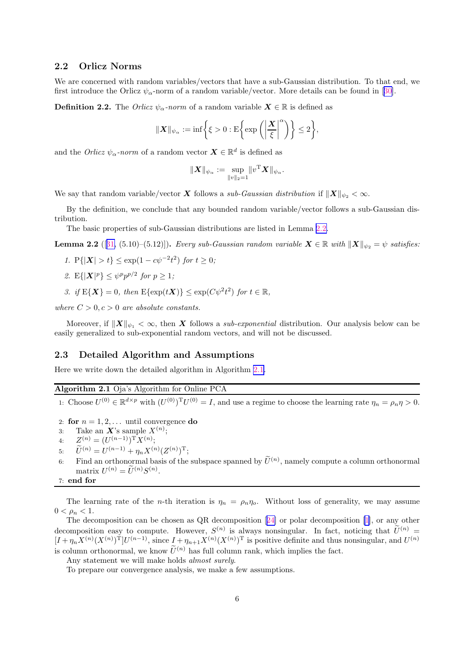### <span id="page-5-0"></span>2.2 Orlicz Norms

We are concerned with random variables/vectors that have a sub-Gaussian distribution. To that end, we firstintroduce the Orlicz  $\psi_{\alpha}$ -norm of a random variable/vector. More details can be found in [[30\]](#page-24-0).

**Definition 2.2.** The *Orlicz*  $\psi_{\alpha}$ -norm of a random variable  $X \in \mathbb{R}$  is defined as

$$
\|\boldsymbol{X}\|_{\psi_{\alpha}}:=\inf\bigg\{\xi>0:\mathrm{E}\bigg\{\mathrm{exp}\left(\bigg|\frac{\boldsymbol{X}}{\xi}\bigg|^\alpha\right)\bigg\}\leq 2\bigg\},
$$

and the *Orlicz*  $\psi_{\alpha}$ *-norm* of a random vector  $\mathbf{X} \in \mathbb{R}^d$  is defined as

$$
\|\bm{X}\|_{\psi_{\alpha}} := \sup_{\|v\|_2 = 1} \|v^{\mathrm{T}}\bm{X}\|_{\psi_{\alpha}}.
$$

We say that random variable/vector X follows a *sub-Gaussian distribution* if  $||X||_{\psi_2} < \infty$ .

By the definition, we conclude that any bounded random variable/vector follows a sub-Gaussian distribution.

The basic properties of sub-Gaussian distributions are listed in Lemma 2.2.

**Lemma 2.2** ([[31,](#page-24-0) (5.10)–(5.12)]). *Every sub-Gaussian random variable*  $X \in \mathbb{R}$  *with*  $||X||_{\psi_2} = \psi$  *satisfies:* 

- *1.*  $P\{|\mathbf{X}| > t\}$  ≤  $\exp(1 c\psi^{-2}t^2)$  *for*  $t \ge 0$ *;*
- 2.  $E\{|\mathbf{X}|^p\} \leq \psi^p p^{p/2}$  for  $p \geq 1$ ;
- 3. if  $E\{X\} = 0$ , then  $E\{\exp(tX)\} \leq \exp(C\psi^2 t^2)$  for  $t \in \mathbb{R}$ ,

*where*  $C > 0, c > 0$  *are absolute constants.* 

Moreover, if  $||X||_{\psi_1} < \infty$ , then X follows a *sub-exponential* distribution. Our analysis below can be easily generalized to sub-exponential random vectors, and will not be discussed.

#### 2.3 Detailed Algorithm and Assumptions

Here we write down the detailed algorithm in Algorithm 2.1.

### Algorithm 2.1 Oja's Algorithm for Online PCA

1: Choose  $U^{(0)} \in \mathbb{R}^{d \times p}$  with  $(U^{(0)})^T U^{(0)} = I$ , and use a regime to choose the learning rate  $\eta_n = \rho_n \eta > 0$ .

- 2: for  $n = 1, 2, \ldots$  until convergence do
- 3: Take an  $\mathbf{X}$ 's sample  $X^{(n)}$ ;
- 4:  $Z^{(n)} = (U^{(n-1)})^{\mathrm{T}} X^{(n)};$
- 5:  $\bar{U}^{(n)} = U^{(n-1)} + \eta_n X^{(n)} (Z^{(n)})^{\mathrm{T}};$
- 6: Find an orthonormal basis of the subspace spanned by  $\tilde{U}^{(n)}$ , namely compute a column orthonormal matrix  $U^{(n)} = \widetilde{U}^{(n)}S^{(n)}$ .

7: end for

The learning rate of the *n*-th iteration is  $\eta_n = \rho_n \eta_o$ . Without loss of generality, we may assume  $0 < \rho_n < 1$ .

The decomposition can be chosen as QR decomposition[[24\]](#page-24-0) or polar decomposition [\[1](#page-23-0)], or any other decomposition easy to compute. However,  $S^{(n)}$  is always nonsingular. In fact, noticing that  $\tilde{U}^{(n)} =$  $[I + \eta_n X^{(n)} (X^{(n)})^T] U^{(n-1)}$ , since  $I + \eta_{n+1} X^{(n)} (X^{(n)})^T$  is positive definite and thus nonsingular, and  $U^{(n)}$ is column orthonormal, we know  $\widetilde{U}^{(n)}$  has full column rank, which implies the fact.

Any statement we will make holds *almost surely*.

To prepare our convergence analysis, we make a few assumptions.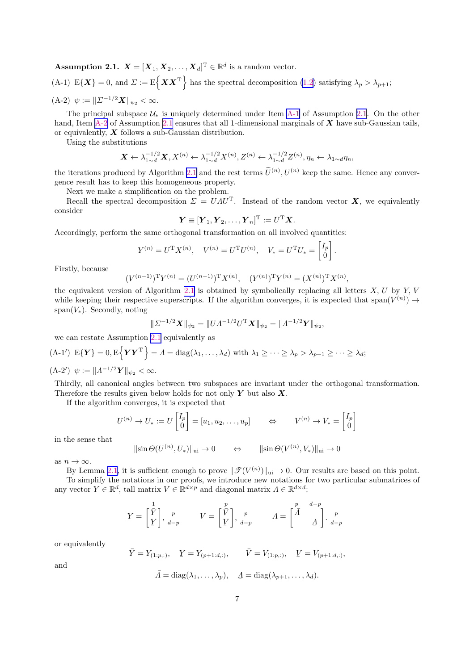**Assumption 2.1.**  $\boldsymbol{X} = [\boldsymbol{X}_1, \boldsymbol{X}_2, \dots, \boldsymbol{X}_d]^{\mathrm{T}} \in \mathbb{R}^d$  is a random vector.

(A-1)  $E\{X\} = 0$ , and  $\Sigma := E\{XX^T\}$  has the spectral decomposition [\(1.2](#page-0-0)) satisfying  $\lambda_p > \lambda_{p+1}$ ; (A-2)  $\psi := \| \Sigma^{-1/2} \mathbf{X} \|_{\psi_2} < \infty.$ 

The principal subspace  $\mathcal{U}_*$  is uniquely determined under Item A-1 of Assumption [2.1](#page-5-0). On the other hand, Item  $A-2$  of Assumption [2.1](#page-5-0) ensures that all 1-dimensional marginals of  $X$  have sub-Gaussian tails, or equivalently,  $X$  follows a sub-Gaussian distribution.

Using the substitutions

$$
\mathbf{X} \leftarrow \lambda_{1 \sim d}^{-1/2} \mathbf{X}, X^{(n)} \leftarrow \lambda_{1 \sim d}^{-1/2} X^{(n)}, Z^{(n)} \leftarrow \lambda_{1 \sim d}^{-1/2} Z^{(n)}, \eta_n \leftarrow \lambda_{1 \sim d} \eta_n,
$$

the iterations produced by Algorithm [2.1](#page-5-0) and the rest terms  $\tilde{U}^{(n)}$ ,  $U^{(n)}$  keep the same. Hence any convergence result has to keep this homogeneous property.

Next we make a simplification on the problem.

Recall the spectral decomposition  $\Sigma = U \Lambda U^{T}$ . Instead of the random vector  $X$ , we equivalently consider

$$
\boldsymbol{Y} \equiv [\boldsymbol{Y}_1, \boldsymbol{Y}_2, \dots, \boldsymbol{Y}_n]^{\mathrm{T}} := \boldsymbol{U}^{\mathrm{T}} \boldsymbol{X}.
$$

Accordingly, perform the same orthogonal transformation on all involved quantities:

$$
Y^{(n)} = U^{\mathrm{T}} X^{(n)}, \quad V^{(n)} = U^{\mathrm{T}} U^{(n)}, \quad V_* = U^{\mathrm{T}} U_* = \begin{bmatrix} I_p \\ 0 \end{bmatrix}.
$$

Firstly, because

$$
(V^{(n-1)})^{\mathrm{T}}Y^{(n)} = (U^{(n-1)})^{\mathrm{T}}X^{(n)}, \quad (Y^{(n)})^{\mathrm{T}}Y^{(n)} = (X^{(n)})^{\mathrm{T}}X^{(n)},
$$

the equivalent version of Algorithm [2.1](#page-5-0) is obtained by symbolically replacing all letters  $X, U$  by  $Y, V$ while keeping their respective superscripts. If the algorithm converges, it is expected that span $(V^{(n)}) \to$ span $(V_*)$ . Secondly, noting

$$
\|\Sigma^{-1/2} \mathbf{X}\|_{\psi_2} = \|U \Lambda^{-1/2} U^{\mathrm{T}} \mathbf{X}\|_{\psi_2} = \| \Lambda^{-1/2} \mathbf{Y}\|_{\psi_2},
$$

we can restate Assumption [2.1](#page-5-0) equivalently as

$$
(\mathbf{A}\text{-}1')\ \mathbf{E}\{\mathbf{Y}\}=0,\mathbf{E}\left\{\mathbf{Y}\mathbf{Y}^{\mathrm{T}}\right\} = \Lambda = \text{diag}(\lambda_1,\ldots,\lambda_d)\ \text{with}\ \lambda_1 \geq \cdots \geq \lambda_p > \lambda_{p+1} \geq \cdots \geq \lambda_d;
$$

 $(A-2') \psi := \|A^{-1/2}Y\|_{\psi_2} < \infty.$ 

Thirdly, all canonical angles between two subspaces are invariant under the orthogonal transformation. Therefore the results given below holds for not only  $Y$  but also  $X$ .

If the algorithm converges, it is expected that

$$
U^{(n)} \to U_* := U \begin{bmatrix} I_p \\ 0 \end{bmatrix} = [u_1, u_2, \dots, u_p] \qquad \Leftrightarrow \qquad V^{(n)} \to V_* = \begin{bmatrix} I_p \\ 0 \end{bmatrix}
$$

in the sense that

$$
\|\sin\Theta(U^{(n)}, U_*)\|_{\text{ui}} \to 0 \qquad \Leftrightarrow \qquad \|\sin\Theta(V^{(n)}, V_*)\|_{\text{ui}} \to 0
$$

as  $n \to \infty$ .

By Lemma [2.1](#page-4-0), it is sufficient enough to prove  $\|\mathscr{T}(V^{(n)})\|_{\text{ui}} \to 0$ . Our results are based on this point.

To simplify the notations in our proofs, we introduce new notations for two particular submatrices of any vector  $Y \in \mathbb{R}^d$ , tall matrix  $V \in \mathbb{R}^{d \times p}$  and diagonal matrix  $\Lambda \in \mathbb{R}^{d \times d}$ :

$$
Y = \begin{bmatrix} \bar{Y} \\ \bar{Y} \end{bmatrix}, \begin{bmatrix} p \\ d-p \end{bmatrix}, \begin{bmatrix} p \\ V \end{bmatrix}, \begin{bmatrix} p \\ d-p \end{bmatrix}, \begin{bmatrix} p \\ A-p \end{bmatrix} = \begin{bmatrix} \bar{A} & \bar{A} - p \\ \bar{A} & \bar{A} \end{bmatrix}.
$$

or equivalently

and

$$
\bar{Y} = Y_{(1:p,:)}, \quad \underline{Y} = Y_{(p+1:d,:)}, \qquad \bar{V} = V_{(1:p,:)}, \quad \underline{V} = V_{(p+1:d,:)},
$$
  
 $\bar{A} = \text{diag}(\lambda_1, ..., \lambda_p), \quad \underline{A} = \text{diag}(\lambda_{p+1}, ..., \lambda_d).$ 

7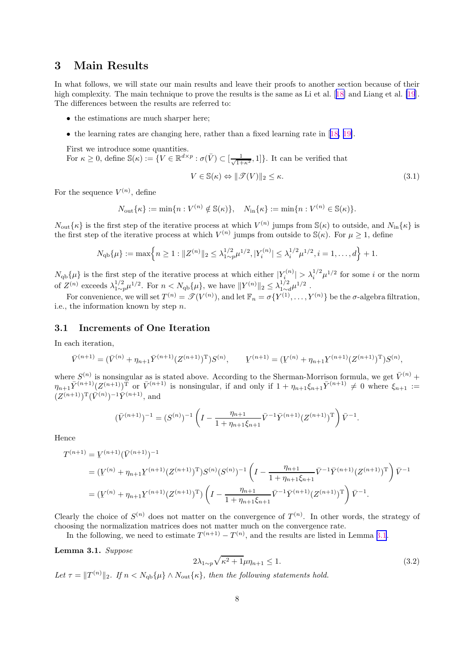# <span id="page-7-0"></span>3 Main Results

In what follows, we will state our main results and leave their proofs to another section because of their highcomplexity. The main technique to prove the results is the same as Li et al. [[18\]](#page-23-0) and Liang et al. [\[19](#page-24-0)]. The differences between the results are referred to:

- the estimations are much sharper here;
- the learning rates are changing here, rather than a fixed learning rate in[[18,](#page-23-0) [19\]](#page-24-0).

First we introduce some quantities.

For  $\kappa \geq 0$ , define  $\mathbb{S}(\kappa) := \{ V \in \mathbb{R}^{d \times p} : \sigma(\bar{V}) \subset [\frac{1}{\sqrt{1+\kappa^2}}, 1] \}$ . It can be verified that

$$
V \in \mathbb{S}(\kappa) \Leftrightarrow \|\mathcal{F}(V)\|_2 \le \kappa. \tag{3.1}
$$

For the sequence  $V^{(n)}$ , define

$$
N_{\text{out}}\{\kappa\} := \min\{n: V^{(n)} \notin \mathbb{S}(\kappa)\}, \quad N_{\text{in}}\{\kappa\} := \min\{n: V^{(n)} \in \mathbb{S}(\kappa)\}.
$$

 $N_{\text{out}}\{\kappa\}$  is the first step of the iterative process at which  $V^{(n)}$  jumps from  $\mathcal{S}(\kappa)$  to outside, and  $N_{\text{in}}\{\kappa\}$  is the first step of the iterative process at which  $V^{(n)}$  jumps from outside to  $\mathcal{S}(\kappa)$ . For  $\mu \geq 1$ , define

$$
N_{\text{qb}}\{\mu\} := \max\left\{n \ge 1 : \|Z^{(n)}\|_2 \le \lambda_{1 \sim p}^{1/2} \mu^{1/2}, |Y_i^{(n)}| \le \lambda_i^{1/2} \mu^{1/2}, i = 1, \dots, d\right\} + 1.
$$

 $N_{\text{qb}}\{\mu\}$  is the first step of the iterative process at which either  $|Y_i^{(n)}| > \lambda_i^{1/2} \mu^{1/2}$  for some i or the norm of  $Z^{(n)}$  exceeds  $\lambda_{1\sim p}^{1/2}\mu^{1/2}$ . For  $n < N_{\text{qb}}\{\mu\}$ , we have  $||Y^{(n)}||_2 \leq \lambda_{1\sim q}^{1/2}$  $\frac{1/2}{1 \sim d} \mu^{1/2}$ .

For convenience, we will set  $T^{(n)} = \mathcal{T}(V^{(n)})$ , and let  $\mathbb{F}_n = \sigma\{Y^{(1)}, \ldots, Y^{(n)}\}$  be the  $\sigma$ -algebra filtration, i.e., the information known by step  $n$ .

### 3.1 Increments of One Iteration

In each iteration,

$$
\overline{V}^{(n+1)} = (\overline{V}^{(n)} + \eta_{n+1} \overline{Y}^{(n+1)} (Z^{(n+1)})^{\mathrm{T}}) S^{(n)}, \qquad \underline{V}^{(n+1)} = (\underline{V}^{(n)} + \eta_{n+1} \underline{Y}^{(n+1)} (Z^{(n+1)})^{\mathrm{T}}) S^{(n)},
$$

where  $S^{(n)}$  is nonsingular as is stated above. According to the Sherman-Morrison formula, we get  $\bar{V}^{(n)}$  +  $\eta_{n+1}\overline{Y}^{(n+1)}(Z^{(n+1)})^{\text{T}}$  or  $\overline{V}^{(n+1)}$  is nonsingular, if and only if  $1 + \eta_{n+1}\xi_{n+1}\overline{Y}^{(n+1)} \neq 0$  where  $\xi_{n+1} :=$  $(Z^{(n+1)})^{\mathrm{T}}(\bar{V}^{(n)})^{-1}\bar{Y}^{(n+1)},$  and

$$
(\bar{V}^{(n+1)})^{-1} = (S^{(n)})^{-1} \left( I - \frac{\eta_{n+1}}{1 + \eta_{n+1} \xi_{n+1}} \bar{V}^{-1} \bar{Y}^{(n+1)} (Z^{(n+1)})^{\mathrm{T}} \right) \bar{V}^{-1}.
$$

Hence

$$
T^{(n+1)} = Y^{(n+1)}(\bar{V}^{(n+1)})^{-1}
$$
  
=  $(Y^{(n)} + \eta_{n+1}Y^{(n+1)}(Z^{(n+1)})^T)S^{(n)}(S^{(n)})^{-1} \left(I - \frac{\eta_{n+1}}{1 + \eta_{n+1}\xi_{n+1}}\bar{V}^{-1}\bar{Y}^{(n+1)}(Z^{(n+1)})^T\right)\bar{V}^{-1}$   
=  $(Y^{(n)} + \eta_{n+1}Y^{(n+1)}(Z^{(n+1)})^T)\left(I - \frac{\eta_{n+1}}{1 + \eta_{n+1}\xi_{n+1}}\bar{V}^{-1}\bar{Y}^{(n+1)}(Z^{(n+1)})^T\right)\bar{V}^{-1}.$ 

Clearly the choice of  $S^{(n)}$  does not matter on the convergence of  $T^{(n)}$ . In other words, the strategy of choosing the normalization matrices does not matter much on the convergence rate.

In the following, we need to estimate  $T^{(n+1)} - T^{(n)}$ , and the results are listed in Lemma 3.1.

Lemma 3.1. *Suppose*

$$
2\lambda_{1\sim p}\sqrt{\kappa^2+1}\mu\eta_{n+1}\leq 1.\tag{3.2}
$$

Let  $\tau = ||T^{(n)}||_2$ . If  $n < N_{\text{qb}}\{\mu\} \wedge N_{\text{out}}\{\kappa\}$ , then the following statements hold.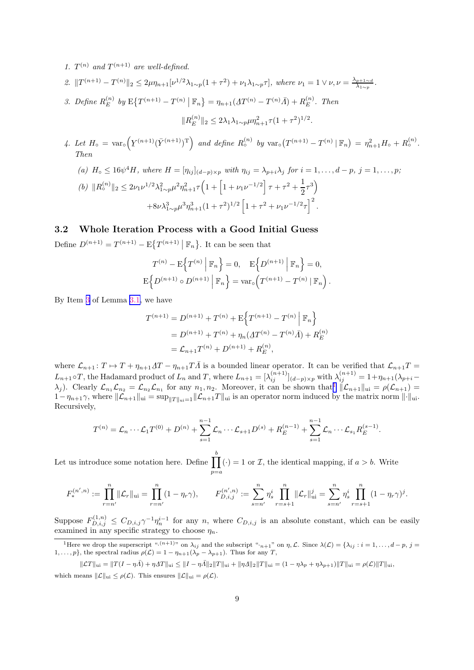- <span id="page-8-0"></span>1.  $T^{(n)}$  and  $T^{(n+1)}$  are well-defined.
- 2.  $||T^{(n+1)} T^{(n)}||_2 \leq 2\mu\eta_{n+1}[\nu^{1/2}\lambda_{1 \sim p}(1+\tau^2) + \nu_1\lambda_{1 \sim p}\tau]$ , where  $\nu_1 = 1 \vee \nu, \nu = \frac{\lambda_{p+1} \sim d}{\lambda_{1 \sim p}}$  $\frac{p+1 \sim d}{\lambda_{1 \sim p}}$  .
- 3. Define  $R_E^{(n)}$  by  $E\{T^{(n+1)} T^{(n)} | \mathbb{F}_n\} = \eta_{n+1} (AT^{(n)} T^{(n)}\overline{A}) + R_E^{(n)}$ . Then

$$
||R_E^{(n)}||_2 \le 2\lambda_1 \lambda_{1\sim p} \mu \eta_{n+1}^2 \tau (1+\tau^2)^{1/2}.
$$

4. Let  $H_{\circ} = \text{var}_{\circ}$  $\underline{Y}^{(n+1)}(\overline{Y}^{(n+1)})^{\mathrm{T}}$  and define  $R_{\circ}^{(n)}$  by  $var_{\circ}(T^{(n+1)} - T^{(n)} | \mathbb{F}_n) = \eta_{n+1}^2 H_{\circ} + R_{\circ}^{(n)}$ . *Then*

(a) 
$$
H_o \le 16\psi^4 H
$$
, where  $H = [\eta_{ij}]_{(d-p)\times p}$  with  $\eta_{ij} = \lambda_{p+i}\lambda_j$  for  $i = 1, ..., d-p$ ,  $j = 1, ..., p$ ;  
\n(b)  $||R_o^{(n)}||_2 \le 2\nu_1\nu^{1/2}\lambda_{1\sim p}^2\mu^2\eta_{n+1}^2\tau\left(1 + \left[1 + \nu_1\nu^{-1/2}\right]\tau + \tau^2 + \frac{1}{2}\tau^3\right)$   
\n $+8\nu\lambda_{1\sim p}^3\mu^3\eta_{n+1}^3(1 + \tau^2)^{1/2}\left[1 + \tau^2 + \nu_1\nu^{-1/2}\tau\right]^2$ .

### 3.2 Whole Iteration Process with a Good Initial Guess

Define  $D^{(n+1)} = T^{(n+1)} - \mathbb{E}\left\{T^{(n+1)} | \mathbb{F}_n\right\}$ . It can be seen that

$$
T^{(n)} - \mathbb{E}\left\{T^{(n)} \middle| \mathbb{F}_n\right\} = 0, \quad \mathbb{E}\left\{D^{(n+1)} \middle| \mathbb{F}_n\right\} = 0,
$$

$$
\mathbb{E}\left\{D^{(n+1)} \circ D^{(n+1)} \middle| \mathbb{F}_n\right\} = \text{var}_\circ(T^{(n+1)} - T^{(n)} \middle| \mathbb{F}_n\right).
$$

By Item 3 of Lemma [3.1,](#page-7-0) we have

$$
T^{(n+1)} = D^{(n+1)} + T^{(n)} + E\left\{T^{(n+1)} - T^{(n)} \middle| \mathbb{F}_n\right\}
$$
  
=  $D^{(n+1)} + T^{(n)} + \eta_n(\Delta T^{(n)} - T^{(n)}\overline{\Lambda}) + R_E^{(n)}$   
=  $\mathcal{L}_{n+1}T^{(n)} + D^{(n+1)} + R_E^{(n)},$ 

where  $\mathcal{L}_{n+1}: T \mapsto T + \eta_{n+1} T T - \eta_{n+1} T \overline{A}$  is a bounded linear operator. It can be verified that  $\mathcal{L}_{n+1} T =$  $L_{n+1} \circ T$ , the Hadamard product of  $L_n$  and T, where  $L_{n+1} = [\lambda_{ij}^{(n+1)}]_{(d-p)\times p}$  with  $\lambda_{ij}^{(n+1)} = 1 + \eta_{n+1}(\lambda_{p+i} (\lambda_j)$ . Clearly  $\mathcal{L}_{n_1}\mathcal{L}_{n_2} = \mathcal{L}_{n_2}\mathcal{L}_{n_1}$  for any  $n_1, n_2$ . Moreover, it can be shown that  $\|\mathcal{L}_{n+1}\|_{\text{ui}} = \rho(\mathcal{L}_{n+1}) =$  $1-\eta_{n+1}\gamma$ , where  $\|\mathcal{L}_{n+1}\|_{\text{ui}} = \sup_{\|T\|_{\text{ui}}=1} \|\mathcal{L}_{n+1}T\|_{\text{ui}}$  is an operator norm induced by the matrix norm  $\|\cdot\|_{\text{ui}}$ . Recursively,

$$
T^{(n)} = \mathcal{L}_n \cdots \mathcal{L}_1 T^{(0)} + D^{(n)} + \sum_{s=1}^{n-1} \mathcal{L}_n \cdots \mathcal{L}_{s+1} D^{(s)} + R_E^{(n-1)} + \sum_{s=1}^{n-1} \mathcal{L}_n \cdots \mathcal{L}_{s_1} R_E^{(s-1)}.
$$

Let us introduce some notation here. Define  $\prod^b$  $p=a$  $\left(\cdot\right) = 1$  or  $\mathcal{I}$ , the identical mapping, if  $a > b$ . Write

$$
F_*^{(n',n)} := \prod_{r=n'}^{n} \|\mathcal{L}_r\|_{\text{ui}} = \prod_{r=n'}^{n} (1 - \eta_r \gamma), \qquad F_{D,i,j}^{(n',n)} := \sum_{s=n'}^{n} \eta_s^i \prod_{r=s+1}^{n} \|\mathcal{L}_r\|_{\text{ui}}^j = \sum_{s=n'}^{n} \eta_s^i \prod_{r=s+1}^{n} (1 - \eta_r \gamma)^j.
$$

Suppose  $F_{D,i,j}^{(1,n)} \leq C_{D,i,j}\gamma^{-1}\eta_n^{i-1}$  for any n, where  $C_{D,i,j}$  is an absolute constant, which can be easily examined in any specific strategy to choose  $\eta_n$ .

<sup>&</sup>lt;sup>1</sup>Here we drop the superscript " $(n+1)$ " on  $\lambda_{ij}$  and the subscript " $n+1$ " on  $\eta$ ,  $\mathcal{L}$ . Since  $\lambda(\mathcal{L}) = {\lambda_{ij} : i = 1, ..., d-p, j = 1, \dots, d-p}$  $1, \ldots, p$ , the spectral radius  $\rho(\mathcal{L}) = 1 - \eta_{n+1}(\lambda_p - \lambda_{p+1})$ . Thus for any T,

 $||\mathcal{L}T||_{\text{ui}} = ||T(I - \eta \bar{A}) + \eta \underline{A}T||_{\text{ui}} \le ||I - \eta \bar{A}||_2||T||_{\text{ui}} + ||\eta \underline{A}||_2||T||_{\text{ui}} = (1 - \eta \lambda_p + \eta \lambda_{p+1})||T||_{\text{ui}} = \rho(\mathcal{L})||T||_{\text{ui}},$ which means  $\|\mathcal{L}\|_{\text{ui}} \leq \rho(\mathcal{L})$ . This ensures  $\|\mathcal{L}\|_{\text{ui}} = \rho(\mathcal{L})$ .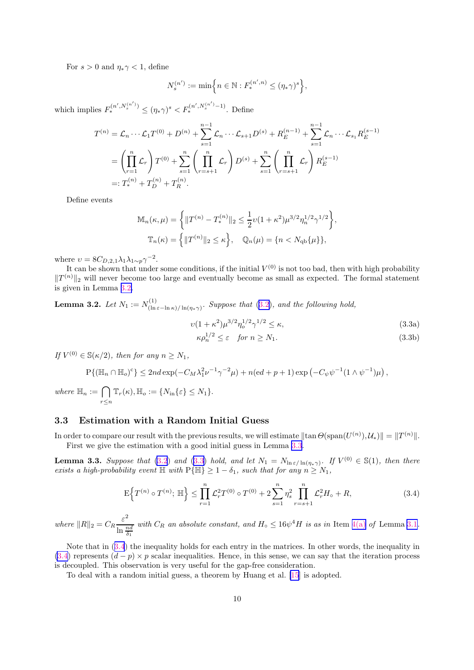<span id="page-9-0"></span>For  $s > 0$  and  $\eta_* \gamma < 1$ , define

$$
N_s^{(n')}:=\min\Bigl\{n\in\mathbb{N}: F_*^{(n',n)}\leq (\eta_*\gamma)^s\Bigr\},
$$

which implies  $F_*^{(n',N_s^{(n')})} \le (\eta_* \gamma)^s \lt F_*^{(n',N_s^{(n')}-1)}$ . Define

$$
T^{(n)} = \mathcal{L}_n \cdots \mathcal{L}_1 T^{(0)} + D^{(n)} + \sum_{s=1}^{n-1} \mathcal{L}_n \cdots \mathcal{L}_{s+1} D^{(s)} + R_E^{(n-1)} + \sum_{s=1}^{n-1} \mathcal{L}_n \cdots \mathcal{L}_{s_1} R_E^{(s-1)}
$$
  
= 
$$
\left(\prod_{r=1}^n \mathcal{L}_r\right) T^{(0)} + \sum_{s=1}^n \left(\prod_{r=s+1}^n \mathcal{L}_r\right) D^{(s)} + \sum_{s=1}^n \left(\prod_{r=s+1}^n \mathcal{L}_r\right) R_E^{(s-1)}
$$
  
=: 
$$
T_*^{(n)} + T_D^{(n)} + T_R^{(n)}.
$$

Define events

$$
\mathbb{M}_{n}(\kappa,\mu) = \left\{ \|T^{(n)} - T_{*}^{(n)}\|_{2} \le \frac{1}{2}\nu(1+\kappa^{2})\mu^{3/2}\eta_{n}^{1/2}\gamma^{1/2}\right\},\
$$

$$
\mathbb{T}_{n}(\kappa) = \left\{ \|T^{(n)}\|_{2} \le \kappa \right\}, \quad \mathbb{Q}_{n}(\mu) = \left\{ n < N_{\mathrm{qb}}\{\mu\} \right\},
$$

where  $v = 8C_{D,2,1}\lambda_1\lambda_{1\sim p}\gamma^{-2}$ .

It can be shown that under some conditions, if the initial  $V^{(0)}$  is not too bad, then with high probability  $||T^{(n)}||_2$  will never become too large and eventually become as small as expected. The formal statement is given in Lemma 3.2.

**Lemma 3.2.** Let 
$$
N_1 := N_{(\ln \varepsilon - \ln \kappa)/\ln(\eta_* \gamma)}^{(1)}
$$
. Suppose that (3.2), and the following hold,

$$
v(1 + \kappa^2)\mu^{3/2}\eta_o^{1/2}\gamma^{1/2} \le \kappa,\tag{3.3a}
$$

$$
\kappa \rho_n^{1/2} \le \varepsilon \quad \text{for } n \ge N_1. \tag{3.3b}
$$

 $If V^{(0)} \in \mathbb{S}(\kappa/2), then for any n \geq N_1,$ 

$$
P\{(\mathbb{H}_n \cap \mathbb{H}_o)^c\} \le 2nd \exp(-C_M \lambda_1^2 \nu^{-1} \gamma^{-2} \mu) + n(\mathrm{e}d + p + 1) \exp\left(-C_\psi \psi^{-1} (1 \wedge \psi^{-1}) \mu\right),
$$

*where*  $\mathbb{H}_n := \bigcap$ r≤n  $\mathbb{T}_r(\kappa), \mathbb{H}_o := \{N_{\text{in}}\{\varepsilon\} \leq N_1\}.$ 

### 3.3 Estimation with a Random Initial Guess

In order to compare our result with the previous results, we will estimate  $\|\tan \Theta(\text{span}(U^{(n)}), \mathcal{U}_*)\| = \|T^{(n)}\|.$ First we give the estimation with a good initial guess in Lemma 3.3.

**Lemma 3.3.** Suppose that [\(3.2](#page-7-0)) and (3.3) hold, and let  $N_1 = N_{\ln \varepsilon / \ln(\eta_* \gamma)}$ . If  $V^{(0)} \in \mathbb{S}(1)$ , then there *exists a high-probability event*  $\mathbb{H}$  *with*  $P{\mathbb{H}} \geq 1 - \delta_1$ *, such that for any*  $n \geq N_1$ *,* 

$$
\mathcal{E}\left\{T^{(n)}\circ T^{(n)}; \mathbb{H}\right\} \leq \prod_{r=1}^{n} \mathcal{L}_r^2 T^{(0)} \circ T^{(0)} + 2\sum_{s=1}^{n} \eta_s^2 \prod_{r=s+1}^{n} \mathcal{L}_r^2 H_o + R,\tag{3.4}
$$

where  $||R||_2 = C_R \frac{\varepsilon^2}{\ln \frac{n}{2}}$  $\frac{c}{\ln \frac{nd}{\delta_1}}$  with  $C_R$  *an absolute constant, and*  $H_o \leq 16\psi^4 H$  *is as in* Item [4\(a\)](#page-8-0) *of* Lemma [3.1](#page-7-0)*.* 

Note that in (3.4) the inequality holds for each entry in the matrices. In other words, the inequality in (3.4) represents  $(d - p) \times p$  scalar inequalities. Hence, in this sense, we can say that the iteration process is decoupled. This observation is very useful for the gap-free consideration.

To deal with a random initial guess, a theorem by Huang et al. [\[15](#page-23-0)] is adopted.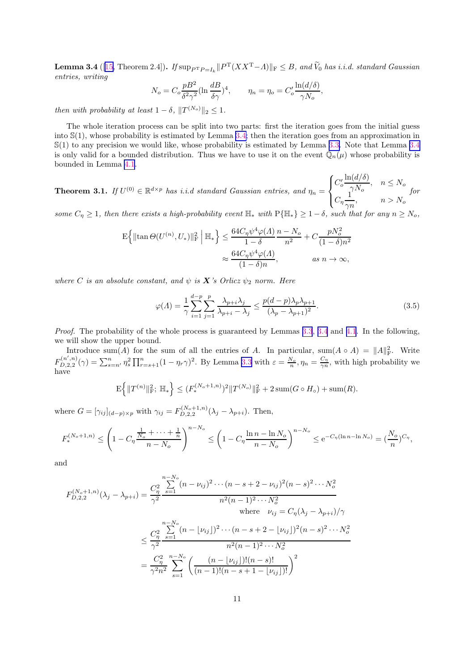<span id="page-10-0"></span>**Lemma 3.4** ([[15,](#page-23-0) Theorem 2.4]). *If*  $\sup_{P^T P = I_k} \| P^T (XX^T - A) \|_F \leq B$ , and  $\widetilde{V}_0$  has *i.i.d.* standard Gaussian *entries, writing*

$$
N_o = C_o \frac{pB^2}{\delta^2 \gamma^2} (\ln \frac{dB}{\delta \gamma})^4, \qquad \eta_n = \eta_o = C'_o \frac{\ln(d/\delta)}{\gamma N_o},
$$

*then with probability at least*  $1 - \delta$ ,  $||T^{(N_o)}||_2 \leq 1$ .

The whole iteration process can be split into two parts: first the iteration goes from the initial guess into  $\mathbb{S}(1)$ , whose probability is estimated by Lemma [3.4;](#page-9-0) then the iteration goes from an approximation in S(1) to any precision we would like, whose probability is estimated by Lemma [3.3.](#page-9-0) Note that Lemma [3.4](#page-9-0) is only valid for a bounded distribution. Thus we have to use it on the event  $\mathbb{Q}_n(\mu)$  whose probability is bounded in Lemma [4.1](#page-15-0).

**Theorem 3.1.** *If*  $U^{(0)} \in \mathbb{R}^{d \times p}$  *has i.i.d standard Gaussian entries, and*  $\eta_n =$  $\sqrt{ }$  $\int$  $\mathbf{I}$  $C_o'$  $\ln(d/\delta)$  $\frac{\Gamma(\alpha/\sigma)}{\gamma N_o}, \quad n \le N_o$  $C_{\eta} \frac{1}{\tau_{\eta}}$  $\frac{1}{\gamma n}, \qquad n > N_o$ *for*

*some*  $C_n \geq 1$ *, then there exists a high-probability event*  $\mathbb{H}_*$  *with*  $P\{\mathbb{H}_*\} \geq 1 - \delta$ *, such that for any*  $n \geq N_o$ *,* 

$$
\mathcal{E}\left\{\|\tan\Theta(U^{(n)}, U_*)\|_{\mathcal{F}}^2\middle|\ \mathbb{H}_*\right\} \le \frac{64C_\eta\psi^4\varphi(\Lambda)}{1-\delta}\frac{n-N_o}{n^2} + C\frac{pN_o^2}{(1-\delta)n^2}
$$

$$
\approx \frac{64C_\eta\psi^4\varphi(\Lambda)}{(1-\delta)n}, \qquad as \ n \to \infty,
$$

*where C is an absolute constant, and*  $\psi$  *is* **X** *s Orlicz*  $\psi_2$  *norm. Here* 

$$
\varphi(\Lambda) = \frac{1}{\gamma} \sum_{i=1}^{d-p} \sum_{j=1}^{p} \frac{\lambda_{p+i} \lambda_j}{\lambda_{p+i} - \lambda_j} \le \frac{p(d-p)\lambda_p \lambda_{p+1}}{(\lambda_p - \lambda_{p+1})^2}.
$$
\n(3.5)

*Proof.* The probability of the whole process is guaranteed by Lemmas [3.3](#page-9-0), [3.4](#page-9-0) and [4.1](#page-15-0). In the following, we will show the upper bound.

Introduce sum(A) for the sum of all the entries of A. In particular,  $\text{sum}(A \circ A) = ||A||_F^2$ . Write  $F^{(n',n)}_{D,2,2}$  $\sum_{n=1}^{n} \sum_{s=n}^{n} \sum_{s=n}^{n} \prod_{r=s+1}^{n} (1 - \eta_r \gamma)^2$ . By Lemma [3.3](#page-9-0) with  $\varepsilon = \frac{N_o}{n}$ ,  $\eta_n = \frac{C_\eta}{\gamma n}$  $\frac{C_{\eta}}{\gamma n}$ , with high probability we have

$$
\mathbf{E}\Big\{\|T^{(n)}\|_{\mathbf{F}}^{2};\,\mathbb{H}_{*}\Big\} \leq (F_{*}^{(N_{o}+1,n)})^{2}\|T^{(N_{o})}\|_{\mathbf{F}}^{2}+2\operatorname{sum}(G\circ H_{o})+\operatorname{sum}(R).
$$

where  $G = [\gamma_{ij}]_{(d-p)\times p}$  with  $\gamma_{ij} = F_{D,2,2}^{(N_o+1,n)}(\lambda_j - \lambda_{p+i})$ . Then,

$$
F_*^{(N_o+1,n)} \le \left(1 - C_\eta \frac{\frac{1}{N_o} + \dots + \frac{1}{n}}{n - N_o}\right)^{n - N_o} \le \left(1 - C_\eta \frac{\ln n - \ln N_o}{n - N_o}\right)^{n - N_o} \le e^{-C_\eta(\ln n - \ln N_o)} = \left(\frac{N_o}{n}\right)^{C_\eta},
$$

and

$$
F_{D,2,2}^{(N_o+1,n)}(\lambda_j - \lambda_{p+i}) = \frac{C_{\eta}^2}{\gamma^2} \frac{\sum_{s=1}^{n - N_o} (n - \nu_{ij})^2 \cdots (n - s + 2 - \nu_{ij})^2 (n - s)^2 \cdots N_o^2}{n^2 (n - 1)^2 \cdots N_o^2}
$$
\nwhere  $\nu_{ij} = C_{\eta} (\lambda_j - \lambda_{p+i})/\gamma$   
\n
$$
\leq \frac{C_{\eta}^2}{\gamma^2} \frac{\sum_{s=1}^{n - N_o} (n - \lfloor \nu_{ij} \rfloor)^2 \cdots (n - s + 2 - \lfloor \nu_{ij} \rfloor)^2 (n - s)^2 \cdots N_o^2}{n^2 (n - 1)^2 \cdots N_o^2}
$$
\n
$$
= \frac{C_{\eta}^2}{\gamma^2 n^2} \sum_{s=1}^{n - N_o} \left( \frac{(n - \lfloor \nu_{ij} \rfloor)! (n - s)!}{(n - 1)! (n - s + 1 - \lfloor \nu_{ij} \rfloor)!} \right)^2
$$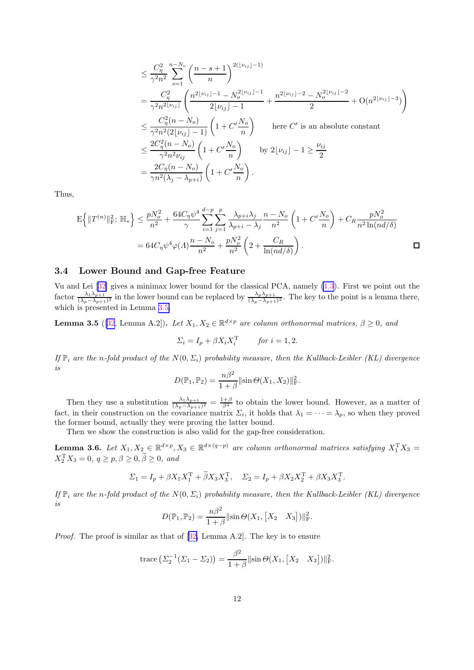<span id="page-11-0"></span>
$$
\leq \frac{C_{\eta}^{2}}{\gamma^{2}n^{2}} \sum_{s=1}^{n-N_{o}} \left(\frac{n-s+1}{n}\right)^{2(\lfloor \nu_{ij} \rfloor-1)} \n= \frac{C_{\eta}^{2}}{\gamma^{2}n^{2\lfloor \nu_{ij} \rfloor}} \left(\frac{n^{2\lfloor \nu_{ij} \rfloor-1}-N_{o}^{2\lfloor \nu_{ij} \rfloor-1}}{2\lfloor \nu_{ij} \rfloor-1}+\frac{n^{2\lfloor \nu_{ij} \rfloor-2}-N_{o}^{2\lfloor \nu_{ij} \rfloor-2}}{2}+O(n^{2\lfloor \nu_{ij} \rfloor-3})\right) \n\leq \frac{C_{\eta}^{2}(n-N_{o})}{\gamma^{2}n^{2}(2\lfloor \nu_{ij} \rfloor-1)} \left(1+C'\frac{N_{o}}{n}\right) \quad \text{here } C' \text{ is an absolute constant} \n\leq \frac{2C_{\eta}^{2}(n-N_{o})}{\gamma^{2}n^{2}\nu_{ij}} \left(1+C'\frac{N_{o}}{n}\right) \quad \text{by } 2\lfloor \nu_{ij} \rfloor-1 \geq \frac{\nu_{ij}}{2} \n= \frac{2C_{\eta}(n-N_{o})}{\gamma n^{2}(\lambda_{j}-\lambda_{p+i})} \left(1+C'\frac{N_{o}}{n}\right).
$$

Thus,

$$
\mathcal{E}\left\{\|T^{(n)}\|_{\mathcal{F}}^2;\ \mathbb{H}_*\right\} \le \frac{pN_o^2}{n^2} + \frac{64C_\eta\psi^4}{\gamma} \sum_{i=1}^{d-p} \sum_{j=1}^p \frac{\lambda_{p+i}\lambda_j}{\lambda_{p+i} - \lambda_j} \frac{n - N_o}{n^2} \left(1 + C'\frac{N_o}{n}\right) + C_R \frac{pN_o^2}{n^2 \ln(nd/\delta)}
$$

$$
= 64C_\eta\psi^4\varphi(\Lambda)\frac{n - N_o}{n^2} + \frac{pN_o^2}{n^2} \left(2 + \frac{C_R}{\ln(nd/\delta)}\right).
$$

### 3.4 Lower Bound and Gap-free Feature

Vu and Lei[[32\]](#page-24-0) gives a minimax lower bound for the classical PCA, namely [\(1.3](#page-0-0)). First we point out the factor  $\frac{\lambda_1 \lambda_{p+1}}{(\lambda_p - \lambda_{p+1})^2}$  in the lower bound can be replaced by  $\frac{\lambda_p \lambda_{p+1}}{(\lambda_p - \lambda_{p+1})^2}$ . The key to the point is a lemma there, which is presented in Lemma 3.5.

**Lemma 3.5** ([\[32](#page-24-0), Lemma A.2]). Let  $X_1, X_2 \in \mathbb{R}^{d \times p}$  are column orthonormal matrices,  $\beta \ge 0$ , and

$$
\Sigma_i = I_p + \beta X_i X_i^{\mathrm{T}} \qquad \text{for } i = 1, 2.
$$

*If*  $\mathbb{P}_i$  *are the* n-fold product of the  $N(0, \Sigma_i)$  probability measure, then the Kullback-Leibler (KL) divergence *is*

$$
D(\mathbb{P}_1, \mathbb{P}_2) = \frac{n\beta^2}{1+\beta} \|\sin \Theta(X_1, X_2)\|_{\mathcal{F}}^2.
$$

Then they use a substitution  $\frac{\lambda_1 \lambda_{p+1}}{(\lambda_p - \lambda_{p+1})^2} = \frac{1+\beta}{\beta^2}$  to obtain the lower bound. However, as a matter of fact, in their construction on the covariance matrix  $\Sigma_i$ , it holds that  $\lambda_1 = \cdots = \lambda_p$ , so when they proved the former bound, actually they were proving the latter bound.

Then we show the construction is also valid for the gap-free consideration.

**Lemma 3.6.** Let  $X_1, X_2 \in \mathbb{R}^{d \times p}, X_3 \in \mathbb{R}^{d \times (q-p)}$  are column orthonormal matrices satisfying  $X_1^{\mathsf{T}} X_3 =$  $X_2^{\mathrm{T}} X_3 = 0, q \ge p, \beta \ge 0, \beta \ge 0, \text{ and}$ 

$$
\Sigma_1 = I_p + \beta X_1 X_1^{\mathrm{T}} + \tilde{\beta} X_3 X_3^{\mathrm{T}}, \quad \Sigma_2 = I_p + \beta X_2 X_2^{\mathrm{T}} + \beta X_3 X_3^{\mathrm{T}}.
$$

*If*  $\mathbb{P}_i$  *are the* n-fold product of the  $N(0, \Sigma_i)$  probability measure, then the Kullback-Leibler (KL) divergence *is*

$$
D(\mathbb{P}_1, \mathbb{P}_2) = \frac{n\beta^2}{1+\beta} ||\sin \Theta(X_1, [X_2 \ X_3])||_F^2.
$$

*Proof.*The proof is similar as that of [[32,](#page-24-0) Lemma A.2]. The key is to ensure

trace 
$$
(\Sigma_2^{-1}(\Sigma_1 - \Sigma_2)) = \frac{\beta^2}{1+\beta} ||\sin \Theta(X_1, [X_2 \ X_3])||_F^2
$$
.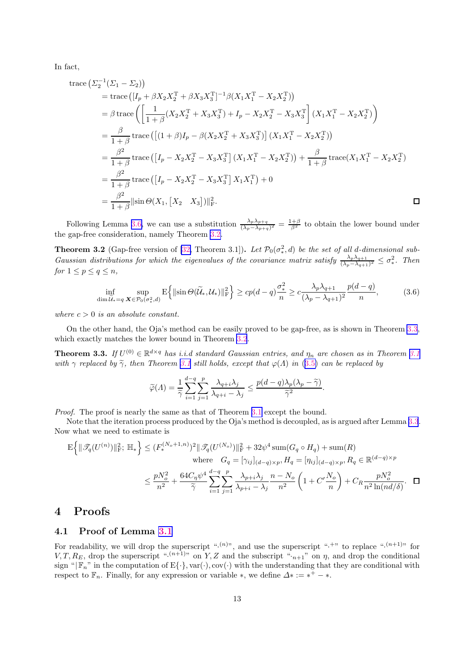<span id="page-12-0"></span>In fact,

trace 
$$
(\Sigma_2^{-1}(\Sigma_1 - \Sigma_2))
$$
  
\n= trace  $([I_p + \beta X_2 X_2^T + \beta X_3 X_3^T]^{-1} \beta (X_1 X_1^T - X_2 X_2^T))$   
\n $= \beta \operatorname{trace} \left( \left[ \frac{1}{1+\beta} (X_2 X_2^T + X_3 X_3^T) + I_p - X_2 X_2^T - X_3 X_3^T \right] (X_1 X_1^T - X_2 X_2^T) \right)$   
\n $= \frac{\beta}{1+\beta} \operatorname{trace} \left( [(1+\beta)I_p - \beta (X_2 X_2^T + X_3 X_3^T)] (X_1 X_1^T - X_2 X_2^T) \right)$   
\n $= \frac{\beta^2}{1+\beta} \operatorname{trace} \left( [I_p - X_2 X_2^T - X_3 X_3^T] (X_1 X_1^T - X_2 X_2^T) \right) + \frac{\beta}{1+\beta} \operatorname{trace} (X_1 X_1^T - X_2 X_2^T)$   
\n $= \frac{\beta^2}{1+\beta} \operatorname{trace} \left( [I_p - X_2 X_2^T - X_3 X_3^T] X_1 X_1^T \right) + 0$   
\n $= \frac{\beta^2}{1+\beta} ||\sin \Theta(X_1, [X_2 \quad X_3])||_F^2.$ 

Following Lemma [3.6,](#page-11-0) we can use a substitution  $\frac{\lambda_p \lambda_{p+q}}{(\lambda_p - \lambda_{p+q})^2} = \frac{1+\beta}{\beta^2}$  to obtain the lower bound under the gap-free consideration, namely Theorem 3.2.

**Theorem 3.2** (Gap-free version of [\[32,](#page-24-0) Theorem 3.1]). Let  $\mathcal{P}_0(\sigma^2_*, d)$  be the set of all d-dimensional sub-*Gaussian distributions for which the eigenvalues of the covariance matrix satisfy*  $\frac{\lambda_p \lambda_{q+1}}{(\lambda_p - \lambda_{q+1})^2} \leq \sigma_*^2$ ∗ *. Then for*  $1 \leq p \leq q \leq n$ *,* 

$$
\inf_{\dim \widetilde{\mathcal{U}}_*=q} \sup_{\mathbf{X}\in \mathcal{P}_0(\sigma^2_*,d)} \mathbb{E}\left\{\|\sin\Theta(\widetilde{\mathcal{U}}_*,\mathcal{U}_*)\|_{\mathcal{F}}^2\right\} \ge c p(d-q) \frac{\sigma^2_*}{n} \ge c \frac{\lambda_p \lambda_{q+1}}{(\lambda_p-\lambda_{q+1})^2} \frac{p(d-q)}{n},\tag{3.6}
$$

*where*  $c > 0$  *is an absolute constant.* 

On the other hand, the Oja's method can be easily proved to be gap-free, as is shown in Theorem 3.3, which exactly matches the lower bound in Theorem 3.2.

**Theorem 3.3.** *If*  $U^{(0)} \in \mathbb{R}^{d \times q}$  *has i.i.d standard Gaussian entries, and*  $\eta_n$  *are chosen as in Theorem [3.1](#page-10-0) with*  $\gamma$  *replaced by*  $\tilde{\gamma}$ *, then Theorem [3.1](#page-10-0) still holds, except that*  $\varphi(\Lambda)$  *in* ([3.5\)](#page-10-0) *can be replaced by* 

$$
\widetilde{\varphi}(A) = \frac{1}{\widetilde{\gamma}} \sum_{i=1}^{d-q} \sum_{j=1}^{p} \frac{\lambda_{q+i} \lambda_j}{\lambda_{q+i} - \lambda_j} \le \frac{p(d-q)\lambda_p(\lambda_p - \widetilde{\gamma})}{\widetilde{\gamma}^2}.
$$

*Proof.* The proof is nearly the same as that of Theorem [3.1](#page-10-0) except the bound.

Note that the iteration process produced by the Oja's method is decoupled, as is argued after Lemma [3.3](#page-9-0). Now what we need to estimate is

$$
\mathcal{E}\left\{\|\mathcal{I}_q(U^{(n)})\|_{\mathrm{F}}^2;\ \mathbb{H}_*\right\} \le (F_*^{(N_o+1,n)})^2\|\mathcal{I}_q(U^{(N_o)})\|_{\mathrm{F}}^2 + 32\psi^4 \operatorname{sum}(G_q \circ H_q) + \operatorname{sum}(R)
$$
\nwhere\n
$$
G_q = [\gamma_{ij}]_{(d-q)\times p}, H_q = [\eta_{ij}]_{(d-q)\times p}, R_q \in \mathbb{R}^{(d-q)\times p}
$$
\n
$$
\le \frac{pN_o^2}{n^2} + \frac{64C_\eta\psi^4}{\tilde{\gamma}} \sum_{i=1}^{d-q} \sum_{j=1}^p \frac{\lambda_{p+i}\lambda_j}{\lambda_{p+i} - \lambda_j} \frac{n - N_o}{n^2} \left(1 + C'\frac{N_o}{n}\right) + C_R \frac{pN_o^2}{n^2 \ln(nd/\delta)}.
$$

### 4 Proofs

### 4.1 Proof of Lemma [3.1](#page-7-0)

For readability, we will drop the superscript " $\cdot^{(n)}$ ", and use the superscript " $\cdot^{+}$ " to replace " $\cdot^{(n+1)}$ " for  $V, T, R_E$ , drop the superscript " $(n+1)$ " on Y, Z and the subscript " $n+1$ " on  $\eta$ , and drop the conditional sign " $|\mathbb{F}_n$ " in the computation of  $E\{\cdot\}$ , var $(\cdot)$ , cov $(\cdot)$  with the understanding that they are conditional with respect to  $\mathbb{F}_n$ . Finally, for any expression or variable  $*$ , we define  $\Delta^* := *^+ - *$ .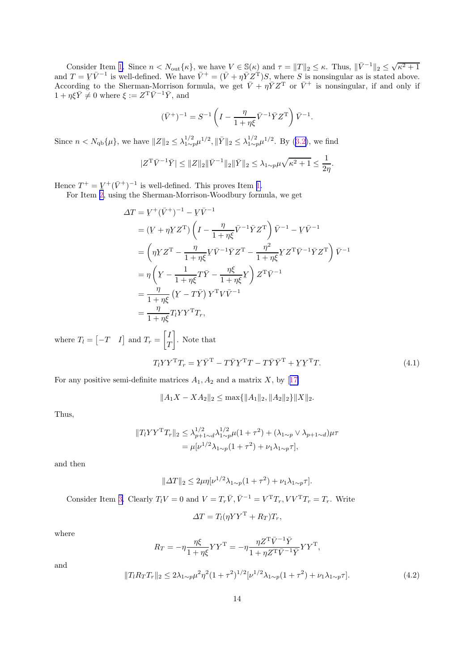<span id="page-13-0"></span>Consider Item [1.](#page-8-0) Since  $n < N_{\text{out}}\{\kappa\}$ , we have  $V \in \mathbb{S}(\kappa)$  and  $\tau = ||T||_2 \le \kappa$ . Thus,  $||\bar{V}^{-1}||_2 \le$  $\sqrt{\kappa^2+1}$ and  $T = V\bar{V}^{-1}$  is well-defined. We have  $\bar{V}^+ = (\bar{V} + \eta \bar{Y}Z^T)S$ , where S is nonsingular as is stated above. According to the Sherman-Morrison formula, we get  $\bar{V} + \eta \bar{Y} Z^{T}$  or  $\bar{V}^{+}$  is nonsingular, if and only if  $1 + \eta \xi \bar{Y} \neq 0$  where  $\xi := Z^{\mathrm{T}} \bar{V}^{-1} \bar{Y}$ , and

$$
(\bar{V}^+)^{-1} = S^{-1}\left(I - \frac{\eta}{1+\eta\xi}\bar{V}^{-1}\bar{Y}Z^{\rm T}\right)\bar{V}^{-1}.
$$

Since $n < N_{\text{qb}}\{\mu\}$ , we have  $||Z||_2 \leq \lambda_{1 \sim p}^{1/2} \mu^{1/2}$ ,  $||\bar{Y}||_2 \leq \lambda_{1 \sim p}^{1/2} \mu^{1/2}$ . By ([3.2\)](#page-7-0), we find

$$
|Z^{\mathrm{T}}\bar{V}^{-1}\bar{Y}| \leq ||Z||_2 ||\bar{V}^{-1}||_2 ||\bar{Y}||_2 \leq \lambda_{1 \sim p} \mu \sqrt{\kappa^2 + 1} \leq \frac{1}{2\eta}.
$$

Hence  $T^+ = \underline{V}^+(\bar{V}^+)^{-1}$  is well-defined. This proves Item [1.](#page-8-0)

For Item [2,](#page-8-0) using the Sherman-Morrison-Woodbury formula, we get

$$
\Delta T = \underline{V}^+(\bar{V}^+)^{-1} - \underline{V}\bar{V}^{-1}
$$
  
\n
$$
= (\underline{V} + \eta \underline{Y}Z^T) \left( I - \frac{\eta}{1 + \eta \xi} \bar{V}^{-1} \bar{Y}Z^T \right) \bar{V}^{-1} - \underline{V}\bar{V}^{-1}
$$
  
\n
$$
= \left( \eta \underline{Y}Z^T - \frac{\eta}{1 + \eta \xi} \underline{V} \bar{V}^{-1} \bar{Y}Z^T - \frac{\eta^2}{1 + \eta \xi} \underline{Y}Z^T \bar{V}^{-1} \bar{Y}Z^T \right) \bar{V}^{-1}
$$
  
\n
$$
= \eta \left( \underline{Y} - \frac{1}{1 + \eta \xi} T \bar{Y} - \frac{\eta \xi}{1 + \eta \xi} \underline{Y} \right) Z^T \bar{V}^{-1}
$$
  
\n
$$
= \frac{\eta}{1 + \eta \xi} (\underline{Y} - T \bar{Y}) Y^T V \bar{V}^{-1}
$$
  
\n
$$
= \frac{\eta}{1 + \eta \xi} T_l Y Y^T T_r,
$$

where  $T_l = \begin{bmatrix} -T & I \end{bmatrix}$  and  $T_r =$  $\lceil I$  $\mathcal{I}$ 1 . Note that

$$
T_l Y Y^{\mathrm{T}} T_r = Y \bar{Y}^{\mathrm{T}} - T \bar{Y} Y^{\mathrm{T}} T - T \bar{Y} \bar{Y}^{\mathrm{T}} + Y Y^{\mathrm{T}} T. \tag{4.1}
$$

Forany positive semi-definite matrices  $A_1, A_2$  and a matrix X, by [[17\]](#page-23-0)

$$
||A_1X - XA_2||_2 \le \max\{||A_1||_2, ||A_2||_2\}||X||_2.
$$

Thus,

$$
||T_l Y Y^{\mathrm{T}} T_r||_2 \leq \lambda_{p+1 \sim d}^{1/2} \lambda_{1 \sim p}^{1/2} \mu (1 + \tau^2) + (\lambda_{1 \sim p} \vee \lambda_{p+1 \sim d}) \mu \tau
$$
  
=  $\mu [\nu^{1/2} \lambda_{1 \sim p} (1 + \tau^2) + \nu_1 \lambda_{1 \sim p} \tau],$ 

and then

$$
||\Delta T||_2 \le 2\mu \eta[\nu^{1/2} \lambda_{1 \sim p} (1 + \tau^2) + \nu_1 \lambda_{1 \sim p} \tau].
$$

Consider Item [3.](#page-8-0) Clearly  $T_l V = 0$  and  $V = T_r \overline{V}$ ,  $\overline{V}^{-1} = V^{\mathrm{T}} T_r$ ,  $VV^{\mathrm{T}} T_r = T_r$ . Write

$$
\Delta T = T_l (\eta Y Y^{\mathrm{T}} + R_T) T_r,
$$

where

$$
R_T = -\eta \frac{\eta \xi}{1 + \eta \xi} Y Y^{\mathrm{T}} = -\eta \frac{\eta Z^{\mathrm{T}} \bar{V}^{-1} \bar{Y}}{1 + \eta Z^{\mathrm{T}} \bar{V}^{-1} \bar{Y}} Y Y^{\mathrm{T}},
$$

and

$$
||T_l R_T T_r||_2 \le 2\lambda_{1\sim p}\mu^2 \eta^2 (1+\tau^2)^{1/2} [\nu^{1/2}\lambda_{1\sim p}(1+\tau^2) + \nu_1\lambda_{1\sim p}\tau]. \tag{4.2}
$$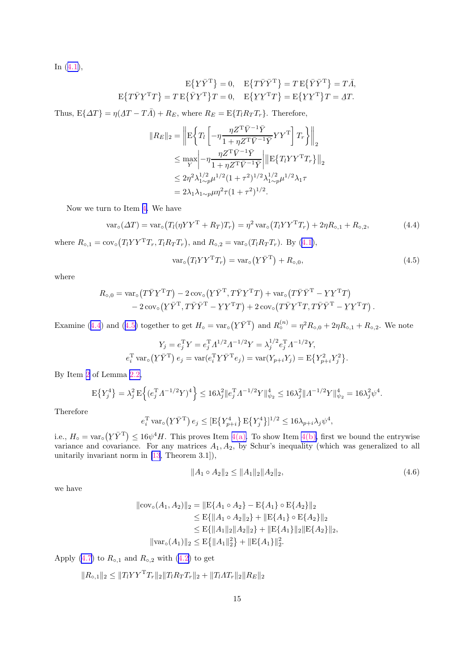<span id="page-14-0"></span>In([4.1\)](#page-13-0),

$$
E{Y\bar{Y}^T} = 0, \quad E{T\bar{Y}\bar{Y}^T} = TE{\bar{Y}\bar{Y}^T} = T\bar{A},
$$

$$
E{T\bar{Y}Y^T} = T E{\bar{Y}Y^T}T = 0, \quad E{YY^TT} = E{YY^T}T = \Delta T.
$$

Thus,  $E\{\Delta T\} = \eta(\Delta T - T\overline{\Lambda}) + R_E$ , where  $R_E = E\{T_l R_T T_r\}$ . Therefore,

$$
||R_E||_2 = \left\| \mathbf{E} \left\{ T_l \left[ -\eta \frac{\eta Z^{\mathrm{T}} \bar{V}^{-1} \bar{Y}}{1 + \eta Z^{\mathrm{T}} \bar{V}^{-1} \bar{Y}} Y Y^{\mathrm{T}} \right] T_r \right\} \right\|_2
$$
  
\n
$$
\leq \max_{Y} \left| -\eta \frac{\eta Z^{\mathrm{T}} \bar{V}^{-1} \bar{Y}}{1 + \eta Z^{\mathrm{T}} \bar{V}^{-1} \bar{Y}} \right| \left\| \mathbf{E} \{ T_l Y Y^{\mathrm{T}} T_r \} \right\|_2
$$
  
\n
$$
\leq 2\eta^2 \lambda_{1 \sim p}^{1/2} \mu^{1/2} (1 + \tau^2)^{1/2} \lambda_{1 \sim p}^{1/2} \mu^{1/2} \lambda_1 \tau
$$
  
\n
$$
= 2\lambda_1 \lambda_{1 \sim p} \mu \eta^2 \tau (1 + \tau^2)^{1/2}.
$$

Now we turn to Item [4.](#page-8-0) We have

$$
\text{var}_{\circ}(\Delta T) = \text{var}_{\circ}(T_l(\eta Y Y^{\mathsf{T}} + R_T) T_r) = \eta^2 \text{var}_{\circ}(T_l Y Y^{\mathsf{T}} T_r) + 2\eta R_{\circ,1} + R_{\circ,2},\tag{4.4}
$$

where $R_{\circ,1} = \text{cov}_{\circ} (T_l Y Y^{\mathsf{T}} T_r, T_l R_T T_r)$ , and  $R_{\circ,2} = \text{var}_{\circ} (T_l R_T T_r)$ . By ([4.1\)](#page-13-0),

$$
var_{\circ}(T_l Y Y^{\mathsf{T}} T_r) = var_{\circ}(Y \bar{Y}^{\mathsf{T}}) + R_{\circ,0}, \qquad (4.5)
$$

where

$$
R_{\text{o},0} = \text{var}_{\text{o}}(T\bar{Y}Y^{\text{T}}T) - 2\text{ cov}_{\text{o}}(\underline{Y}\bar{Y}^{\text{T}}, T\bar{Y}\underline{Y}^{\text{T}}T) + \text{var}_{\text{o}}(T\bar{Y}\bar{Y}^{\text{T}} - \underline{Y}\underline{Y}^{\text{T}}T) - 2\text{ cov}_{\text{o}}(\underline{Y}\bar{Y}^{\text{T}}, T\bar{Y}\bar{Y}^{\text{T}} - \underline{Y}\underline{Y}^{\text{T}}T) + 2\text{ cov}_{\text{o}}(T\bar{Y}\underline{Y}^{\text{T}}T, T\bar{Y}\bar{Y}^{\text{T}} - \underline{Y}\underline{Y}^{\text{T}}T).
$$

Examine (4.4) and (4.5) together to get  $H_0 = \text{var}_o$  $(Y\bar{Y}^{\mathrm{T}})$  and  $R_{\circ}^{(n)} = \eta^2 R_{\circ,0} + 2\eta R_{\circ,1} + R_{\circ,2}$ . We note

$$
Y_j = e_j^{\mathrm{T}} Y = e_j^{\mathrm{T}} A^{1/2} A^{-1/2} Y = \lambda_j^{1/2} e_j^{\mathrm{T}} A^{-1/2} Y,
$$
  

$$
e_i^{\mathrm{T}} \operatorname{var}_0(\underline{Y} \bar{Y}^{\mathrm{T}}) e_j = \operatorname{var}(e_i^{\mathrm{T}} \underline{Y} \bar{Y}^{\mathrm{T}} e_j) = \operatorname{var}(Y_{p+i} Y_j) = \mathrm{E} \{ Y_{p+i}^2 Y_j^2 \}
$$

By Item [2](#page-5-0) of Lemma [2.2,](#page-5-0)

$$
\mathbf{E}\big\{Y_j^4\big\} = \lambda_j^2 \mathbf{E}\Big\{ (e_j^{\mathrm{T}} A^{-1/2} Y)^4 \Big\} \le 16\lambda_j^2 \|e_j^{\mathrm{T}} A^{-1/2} Y\|_{\psi_2}^4 \le 16\lambda_j^2 \|A^{-1/2} Y\|_{\psi_2}^4 = 16\lambda_j^2 \psi^4.
$$

Therefore

$$
e_i^{\mathrm{T}} \text{var}_{\circ}(\underline{Y}\bar{Y}^{\mathrm{T}}) e_j \leq [\mathrm{E}\{Y_{p+i}^4\} \mathrm{E}\{Y_j^4\}]^{1/2} \leq 16\lambda_{p+i}\lambda_j\psi^4,
$$

i.e.,  $H_{\circ} = \text{var}_{\circ}$  (  $\langle Y \overline{Y}^T \rangle \le 16\psi^4 H$ . This proves Item [4\(a\).](#page-8-0) To show Item [4\(b\),](#page-8-0) first we bound the entrywise variance and covariance. For any matrices  $A_1, A_2$ , by Schur's inequality (which was generalized to all unitarily invariant norm in [\[13](#page-23-0), Theorem 3.1]),

$$
||A_1 \circ A_2||_2 \le ||A_1||_2 ||A_2||_2, \tag{4.6}
$$

.

we have

$$
\|\text{cov}_{\circ}(A_1, A_2)\|_2 = \|\text{E}\{A_1 \circ A_2\} - \text{E}\{A_1\} \circ \text{E}\{A_2\}\|_2
$$
  
\n
$$
\leq \text{E}\{\|A_1 \circ A_2\|_2\} + \|\text{E}\{A_1\} \circ \text{E}\{A_2\}\|_2
$$
  
\n
$$
\leq \text{E}\{\|A_1\|_2 \|A_2\|_2\} + \|\text{E}\{A_1\}\|_2 \|\text{E}\{A_2\}\|_2,
$$
  
\n
$$
\|\text{var}_{\circ}(A_1)\|_2 \leq \text{E}\{\|A_1\|_2^2\} + \|\text{E}\{A_1\}\|_2^2.
$$

Apply(4.7) to  $R_{\circ,1}$  and  $R_{\circ,2}$  with ([4.2\)](#page-13-0) to get

$$
||R_{\circ,1}||_2 \leq ||T_l Y Y^{\mathsf{T}} T_r||_2 ||T_l R_T T_r||_2 + ||T_l A T_r||_2 ||R_E||_2
$$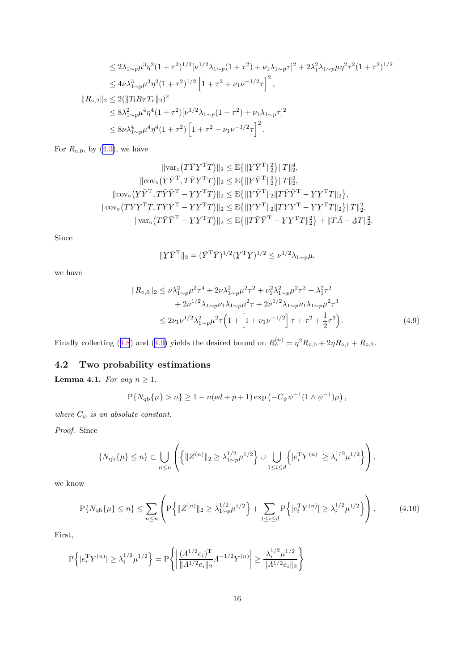<span id="page-15-0"></span>
$$
\leq 2\lambda_{1\sim p}\mu^3\eta^2(1+\tau^2)^{1/2}[\nu^{1/2}\lambda_{1\sim p}(1+\tau^2)+\nu_1\lambda_{1\sim p}\tau]^2+2\lambda_1^2\lambda_{1\sim p}\mu\eta^2\tau^2(1+\tau^2)^{1/2}
$$
  
\n
$$
\leq 4\nu\lambda_{1\sim p}^3\mu^3\eta^2(1+\tau^2)^{1/2}\left[1+\tau^2+\nu_1\nu^{-1/2}\tau\right]^2,
$$
  
\n
$$
||R_{\circ,2}||_2 \leq 2(||T_lR_TT_r||_2)^2
$$
  
\n
$$
\leq 8\lambda_{1\sim p}^2\mu^4\eta^4(1+\tau^2)[\nu^{1/2}\lambda_{1\sim p}(1+\tau^2)+\nu_1\lambda_{1\sim p}\tau]^2
$$
  
\n
$$
\leq 8\nu\lambda_{1\sim p}^4\mu^4\eta^4(1+\tau^2)\left[1+\tau^2+\nu_1\nu^{-1/2}\tau\right]^2.
$$

For $R_{\circ,0}$ , by ([4.3\)](#page-14-0), we have

$$
\|\text{var}_{\circ}(T\bar{Y}Y^{T}T)\|_{2} \leq E\{\|Y\bar{Y}^{T}\|_{2}^{2}\}\|T\|_{2}^{4},
$$
  

$$
\|\text{cov}_{\circ}(Y\bar{Y}^{T},T\bar{Y}Y^{T}T)\|_{2} \leq E\{\|Y\bar{Y}^{T}\|_{2}^{2}\}\|T\|_{2}^{2},
$$
  

$$
\|\text{cov}_{\circ}(Y\bar{Y}^{T},T\bar{Y}\bar{Y}^{T}-YY^{T}T)\|_{2} \leq E\{\|Y\bar{Y}^{T}\|_{2}\|T\bar{Y}\bar{Y}^{T}-YY^{T}T\|_{2}\},
$$
  

$$
\|\text{cov}_{\circ}(T\bar{Y}Y^{T}T,T\bar{Y}\bar{Y}^{T}-YY^{T}T)\|_{2} \leq E\{\|Y\bar{Y}^{T}\|_{2}\|T\bar{Y}\bar{Y}^{T}-YY^{T}T\|_{2}\}\|T\|_{2}^{2},
$$
  

$$
\|\text{var}_{\circ}(T\bar{Y}\bar{Y}^{T}-YY^{T}T)\|_{2} \leq E\{\|T\bar{Y}\bar{Y}^{T}-YY^{T}T\|_{2}^{2}\}+\|T\bar{A}-\Delta T\|_{2}^{2}.
$$

Since

$$
\|\underline{Y}\overline{Y}^{\mathrm{T}}\|_{2} = (\overline{Y}^{\mathrm{T}}\overline{Y})^{1/2}(\underline{Y}^{\mathrm{T}}\underline{Y})^{1/2} \leq \nu^{1/2}\lambda_{1\sim p}\mu,
$$

we have

$$
||R_{0,0}||_2 \le \nu \lambda_{1\sim p}^2 \mu^2 \tau^4 + 2\nu \lambda_{1\sim p}^2 \mu^2 \tau^2 + \nu_1^2 \lambda_{1\sim p}^2 \mu^2 \tau^2 + \lambda_1^2 \tau^2 + 2\nu^{1/2} \lambda_{1\sim p} \nu_1 \lambda_{1\sim p} \mu^2 \tau + 2\nu^{1/2} \lambda_{1\sim p} \nu_1 \lambda_{1\sim p} \mu^2 \tau^3 \le 2\nu_1 \nu^{1/2} \lambda_{1\sim p}^2 \mu^2 \tau \left(1 + \left[1 + \nu_1 \nu^{-1/2}\right] \tau + \tau^2 + \frac{1}{2} \tau^3\right).
$$
\n(4.9)

Finallycollecting ([4.8](#page-14-0)) and (4.9) yields the desired bound on  $R_0^{(n)} = \eta^2 R_{0,0} + 2\eta R_{0,1} + R_{0,2}$ .

# 4.2 Two probability estimations

**Lemma 4.1.** *For any*  $n \geq 1$ *,* 

$$
P\{N_{\rm qb}\{\mu\} > n\} \ge 1 - n(\mathrm{e}d + p + 1)\exp\left(-C_{\psi}\psi^{-1}(1 \wedge \psi^{-1})\mu\right),
$$

*where*  $C_{\psi}$  *is an absolute constant.* 

*Proof.* Since

$$
\{N_{\mathrm{qb}}\{\mu\} \le n\} \subset \bigcup_{n \le n} \left( \left\{ \|Z^{(n)}\|_2 \ge \lambda_{1 \sim p}^{1/2} \mu^{1/2} \right\} \cup \bigcup_{1 \le i \le d} \left\{ |e_i^{\mathrm{T}} Y^{(n)}| \ge \lambda_i^{1/2} \mu^{1/2} \right\} \right),
$$

we know

$$
P\{N_{\rm qb}\{\mu\} \le n\} \le \sum_{n \le n} \left( P\left\{ \|Z^{(n)}\|_2 \ge \lambda_{1 \sim p}^{1/2} \mu^{1/2} \right\} + \sum_{1 \le i \le d} P\left\{ |e_i^{\rm T} Y^{(n)}| \ge \lambda_i^{1/2} \mu^{1/2} \right\} \right). \tag{4.10}
$$

First,

$$
\mathbf{P}\Big\{|e_i^{\mathrm{T}}Y^{(n)}| \geq \lambda_i^{1/2}\mu^{1/2}\Big\} = \mathbf{P}\Bigg\{\bigg|\frac{( \varLambda^{1/2}e_i)^{\mathrm{T}}}{\|\varLambda^{1/2}e_i\|_2}\varLambda^{-1/2}Y^{(n)}\bigg| \geq \frac{\lambda_i^{1/2}\mu^{1/2}}{\|\varLambda^{1/2}e_i\|_2}\Bigg\}
$$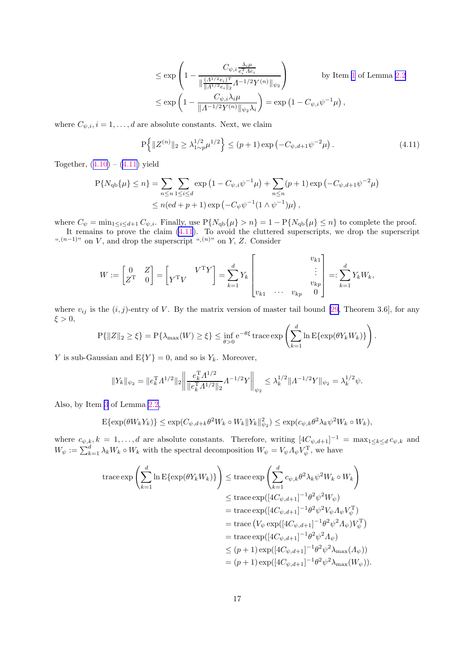$$
\leq \exp\left(1 - \frac{C_{\psi,i}\frac{\lambda_i \mu}{e_i^{\mathrm{T}} A e_i}}{\|\frac{(A^{1/2} e_i)^{\mathrm{T}}}{\|A^{1/2} e_i\|_2} A^{-1/2} Y^{(n)}\|_{\psi_2}}\right) \quad \text{by Item 1 of Lemma 2.2}
$$
  

$$
\leq \exp\left(1 - \frac{C_{\psi,i}\lambda_i \mu}{\|A^{-1/2} Y^{(n)}\|_{\psi_2} \lambda_i}\right) = \exp\left(1 - C_{\psi,i} \psi^{-1} \mu\right),
$$

<span id="page-16-0"></span>where  $C_{\psi,i}, i = 1, \ldots, d$  are absolute constants. Next, we claim

$$
P\left\{ \|Z^{(n)}\|_2 \ge \lambda_{1 \sim p}^{1/2} \mu^{1/2} \right\} \le (p+1) \exp\left(-C_{\psi,d+1} \psi^{-2} \mu\right). \tag{4.11}
$$

Together, $(4.10) - (4.11)$  $(4.10) - (4.11)$  $(4.10) - (4.11)$  yield

$$
P\{N_{qb}\{\mu\} \le n\} = \sum_{n \le n} \sum_{1 \le i \le d} \exp\left(1 - C_{\psi,i}\psi^{-1}\mu\right) + \sum_{n \le n} (p+1) \exp\left(-C_{\psi,d+1}\psi^{-2}\mu\right)
$$
  

$$
\le n(\mathrm{e}d + p + 1) \exp\left(-C_{\psi}\psi^{-1}(1 \wedge \psi^{-1})\mu\right),
$$

where  $C_{\psi} = \min_{1 \leq i \leq d+1} C_{\psi, i}$ . Finally, use  $P\{N_{qb}\{\mu\} > n\} = 1 - P\{N_{qb}\{\mu\} \leq n\}$  to complete the proof.

It remains to prove the claim (4.11). To avoid the cluttered superscripts, we drop the superscript ". $(n-1)$ " on V, and drop the superscript " $(n)$ " on Y, Z. Consider

$$
W := \begin{bmatrix} 0 & Z \\ Z^{\mathrm{T}} & 0 \end{bmatrix} = \begin{bmatrix} V^{\mathrm{T}}V & V^{\mathrm{T}}Y \end{bmatrix} = \sum_{k=1}^{d} Y_k \begin{bmatrix} v_{k1} \\ \vdots \\ v_{k1} & \cdots & v_{kp} & 0 \end{bmatrix} =: \sum_{k=1}^{d} Y_k W_k,
$$

where  $v_{ij}$  is the  $(i, j)$ -entry of V. By the matrix version of master tail bound [\[29](#page-24-0), Theorem 3.6], for any  $\xi > 0$ ,

$$
P\{\|Z\|_2 \ge \xi\} = P\{\lambda_{\max}(W) \ge \xi\} \le \inf_{\theta > 0} e^{-\theta \xi} \operatorname{trace} \exp\left(\sum_{k=1}^d \ln \mathbb{E}\{\exp(\theta Y_k W_k)\}\right).
$$

Y is sub-Gaussian and  $E\{Y\} = 0$ , and so is  $Y_k$ . Moreover,

$$
||Y_k||_{\psi_2} = ||e_k^{\mathrm{T}} A^{1/2}||_2 \left\| \frac{e_k^{\mathrm{T}} A^{1/2}}{||e_k^{\mathrm{T}} A^{1/2}||_2} A^{-1/2} Y \right\|_{\psi_2} \le \lambda_k^{1/2} ||A^{-1/2} Y||_{\psi_2} = \lambda_k^{1/2} \psi.
$$

Also, by Item [3](#page-5-0) of Lemma [2.2](#page-5-0),

$$
\mathbb{E}\{\exp(\theta W_k Y_k)\} \leq \exp(C_{\psi,d+k}\theta^2 W_k \circ W_k \|Y_k\|_{\psi_2}^2) \leq \exp(c_{\psi,k}\theta^2 \lambda_k \psi^2 W_k \circ W_k),
$$

where  $c_{\psi,k}$ ,  $k = 1, \ldots, d$  are absolute constants. Therefore, writing  $[4C_{\psi,d+1}]^{-1} = \max_{1 \leq k \leq d} c_{\psi,k}$  and  $W_{\psi} := \sum_{k=1}^{d} \lambda_k W_k \circ W_k$  with the spectral decomposition  $W_{\psi} = V_{\psi} A_{\psi} V_{\psi}^{\mathrm{T}}$ , we have

$$
\begin{split} \operatorname{trace}\exp\left(\sum_{k=1}^{d}\ln\mathrm{E}\{\exp(\theta Y_{k}W_{k})\}\right) &\leq \operatorname{trace}\exp\left(\sum_{k=1}^{d}c_{\psi,k}\theta^{2}\lambda_{k}\psi^{2}W_{k}\circ W_{k}\right) \\ &\leq \operatorname{trace}\exp([4C_{\psi,d+1}]^{-1}\theta^{2}\psi^{2}W_{\psi}) \\ &=\operatorname{trace}\exp([4C_{\psi,d+1}]^{-1}\theta^{2}\psi^{2}V_{\psi}\Lambda_{\psi}V_{\psi}^{\mathrm{T}}) \\ &=\operatorname{trace}\left(V_{\psi}\exp([4C_{\psi,d+1}]^{-1}\theta^{2}\psi^{2}\Lambda_{\psi})V_{\psi}^{\mathrm{T}}\right) \\ &=\operatorname{trace}\exp([4C_{\psi,d+1}]^{-1}\theta^{2}\psi^{2}\Lambda_{\psi}) \\ &\leq (p+1)\exp([4C_{\psi,d+1}]^{-1}\theta^{2}\psi^{2}\lambda_{\mathrm{max}}(\Lambda_{\psi})) \\ &= (p+1)\exp([4C_{\psi,d+1}]^{-1}\theta^{2}\psi^{2}\lambda_{\mathrm{max}}(W_{\psi})). \end{split}
$$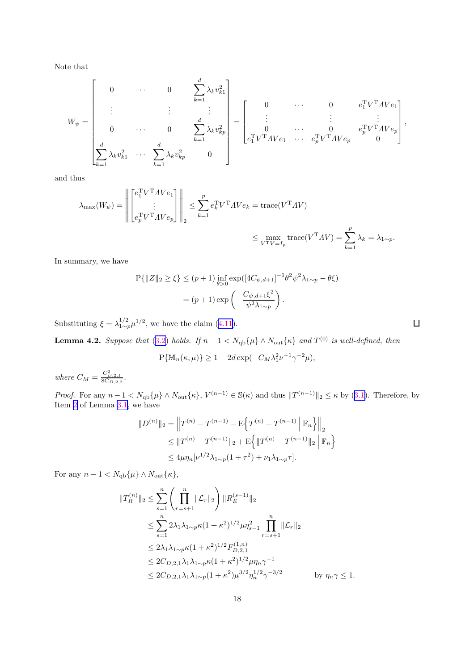<span id="page-17-0"></span>Note that

$$
W_{\psi} = \begin{bmatrix} 0 & \cdots & 0 & \sum_{k=1}^{d} \lambda_k v_{k1}^2 \\ \vdots & & \vdots & \vdots \\ 0 & \cdots & 0 & \sum_{k=1}^{d} \lambda_k v_{kp}^2 \\ \sum_{k=1}^{d} \lambda_k v_{k1}^2 & \cdots & \sum_{k=1}^{d} \lambda_k v_{kp}^2 & 0 \end{bmatrix} = \begin{bmatrix} 0 & \cdots & 0 & e_1^T V^T A V e_1 \\ \vdots & & \vdots & \vdots \\ e_1^T V^T A V e_1 & \cdots & e_p^T V^T A V e_p & 0 \end{bmatrix},
$$

and thus

$$
\lambda_{\max}(W_{\psi}) = \left\| \begin{bmatrix} e_1^T V^T A V e_1 \\ \vdots \\ e_p^T V^T A V e_p \end{bmatrix} \right\|_2 \le \sum_{k=1}^p e_k^T V^T A V e_k = \text{trace}(V^T A V) \n\le \max_{V^T V = I_p} \text{trace}(V^T A V) = \sum_{k=1}^p \lambda_k = \lambda_{1 \sim p}.
$$

In summary, we have

$$
P\{|Z\|_2 \ge \xi\} \le (p+1) \inf_{\theta>0} \exp([4C_{\psi,d+1}]^{-1} \theta^2 \psi^2 \lambda_{1\sim p} - \theta \xi)
$$
  
=  $(p+1) \exp\left(-\frac{C_{\psi,d+1}\xi^2}{\psi^2 \lambda_{1\sim p}}\right).$ 

Substituting  $\xi = \lambda_{1\sim p}^{1/2} \mu^{1/2}$ , we have the claim [\(4.11\)](#page-16-0).

**Lemma 4.2.** *Suppose that* [\(3.2\)](#page-7-0) *holds.* If  $n - 1 < N_{\text{qb}}\{\mu\} \wedge N_{\text{out}}\{\kappa\}$  and  $T^{(0)}$  is well-defined, then

$$
P\{\mathbb{M}_n(\kappa,\mu)\}\geq 1-2d\exp(-C_M\lambda_1^2\nu^{-1}\gamma^{-2}\mu),
$$

*where*  $C_M = \frac{C_{D,2,1}^2}{8C_{D,2,2}}$ .

*Proof.*For any  $n-1 < N_{\text{qb}}\{\mu\} \wedge N_{\text{out}}\{\kappa\}, V^{(n-1)} \in \mathcal{S}(\kappa)$  and thus  $||T^{(n-1)}||_2 \le \kappa$  by ([3.1\)](#page-7-0). Therefore, by Item [2](#page-8-0) of Lemma [3.1](#page-7-0), we have

$$
||D^{(n)}||_2 = ||T^{(n)} - T^{(n-1)} - E\left\{T^{(n)} - T^{(n-1)} || \mathbb{F}_n\right\}||_2
$$
  
\n
$$
\leq ||T^{(n)} - T^{(n-1)}||_2 + E\left\{ ||T^{(n)} - T^{(n-1)}||_2 || \mathbb{F}_n\right\}
$$
  
\n
$$
\leq 4\mu\eta_n[\nu^{1/2}\lambda_{1 \sim p}(1+\tau^2) + \nu_1\lambda_{1 \sim p}\tau].
$$

For any  $n - 1 < N_{\text{qb}}\{\mu\} \wedge N_{\text{out}}\{\kappa\},\$ 

$$
||T_R^{(n)}||_2 \le \sum_{s=1}^n \left(\prod_{r=s+1}^n ||\mathcal{L}_r||_2\right) ||R_E^{(s-1)}||_2
$$
  
\n
$$
\le \sum_{s=1}^n 2\lambda_1 \lambda_{1 \sim p} \kappa (1+\kappa^2)^{1/2} \mu \eta_{s-1}^2 \prod_{r=s+1}^n ||\mathcal{L}_r||_2
$$
  
\n
$$
\le 2\lambda_1 \lambda_{1 \sim p} \kappa (1+\kappa^2)^{1/2} F_{D,2,1}^{(1,n)}
$$
  
\n
$$
\le 2C_{D,2,1} \lambda_1 \lambda_{1 \sim p} \kappa (1+\kappa^2)^{1/2} \mu \eta_n \gamma^{-1}
$$
  
\n
$$
\le 2C_{D,2,1} \lambda_1 \lambda_{1 \sim p} (1+\kappa^2) \mu^{3/2} \eta_n^{1/2} \gamma^{-3/2}
$$
 by  $\eta_n \gamma \le 1$ .

 $\Box$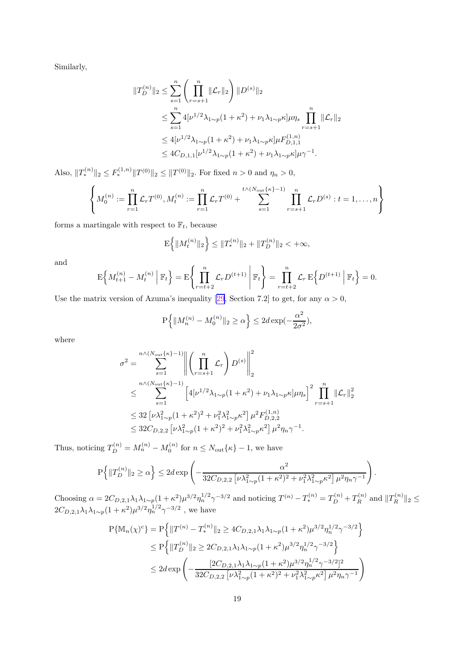Similarly,

$$
||T_{D}^{(n)}||_{2} \leq \sum_{s=1}^{n} \left(\prod_{r=s+1}^{n} ||\mathcal{L}_{r}||_{2}\right) ||D^{(s)}||_{2}
$$
  
\n
$$
\leq \sum_{s=1}^{n} 4[\nu^{1/2}\lambda_{1\sim p}(1+\kappa^{2}) + \nu_{1}\lambda_{1\sim p}\kappa]\mu\eta_{s} \prod_{r=s+1}^{n} ||\mathcal{L}_{r}||_{2}
$$
  
\n
$$
\leq 4[\nu^{1/2}\lambda_{1\sim p}(1+\kappa^{2}) + \nu_{1}\lambda_{1\sim p}\kappa]\mu F_{D,1,1}^{(1,n)}
$$
  
\n
$$
\leq 4C_{D,1,1}[\nu^{1/2}\lambda_{1\sim p}(1+\kappa^{2}) + \nu_{1}\lambda_{1\sim p}\kappa]\mu\gamma^{-1}.
$$

Also,  $||T_*^{(n)}||_2 \le F_*^{(1,n)}||T^{(0)}||_2 \le ||T^{(0)}||_2$ . For fixed  $n > 0$  and  $\eta_n > 0$ ,

$$
\left\{ M_0^{(n)} := \prod_{r=1}^n \mathcal{L}_r T^{(0)}, M_t^{(n)} := \prod_{r=1}^n \mathcal{L}_r T^{(0)} + \sum_{s=1}^{t \wedge (N_{\text{out}}\{\kappa\}-1)} \prod_{r=s+1}^n \mathcal{L}_r D^{(s)} : t = 1, \dots, n \right\}
$$

forms a martingale with respect to  $\mathbb{F}_t$ , because

$$
\mathbf{E}\left\{\|M_t^{(n)}\|_2\right\} \le \|T_*^{(n)}\|_2 + \|T_D^{(n)}\|_2 < +\infty,
$$

and

$$
\mathcal{E}\left\{M_{t+1}^{(n)}-M_t^{(n)}\,\middle|\,\mathbb{F}_t\right\} = \mathcal{E}\left\{\prod_{r=t+2}^n\mathcal{L}_rD^{(t+1)}\,\middle|\,\mathbb{F}_t\right\} = \prod_{r=t+2}^n\mathcal{L}_r\,\mathcal{E}\left\{D^{(t+1)}\,\middle|\,\mathbb{F}_t\right\} = 0.
$$

Use the matrix version of Azuma's inequality [\[29](#page-24-0), Section 7.2] to get, for any  $\alpha > 0$ ,

$$
\mathbf{P}\left\{\|M_n^{(n)} - M_0^{(n)}\|_2 \ge \alpha\right\} \le 2d \exp(-\frac{\alpha^2}{2\sigma^2}),
$$

where

$$
\sigma^{2} = \sum_{s=1}^{n \wedge (N_{\text{out}}\{\kappa\}-1)} \left\| \left( \prod_{r=s+1}^{n} \mathcal{L}_{r} \right) D^{(s)} \right\|_{2}^{2}
$$
\n
$$
\leq \sum_{s=1}^{n \wedge (N_{\text{out}}\{\kappa\}-1)} \left[ 4[\nu^{1/2}\lambda_{1 \sim p}(1+\kappa^{2}) + \nu_{1}\lambda_{1 \sim p}\kappa]\mu\eta_{s} \right]^{2} \prod_{r=s+1}^{n} \|\mathcal{L}_{r}\|_{2}^{2}
$$
\n
$$
\leq 32 \left[ \nu \lambda_{1 \sim p}^{2}(1+\kappa^{2})^{2} + \nu_{1}^{2}\lambda_{1 \sim p}^{2}\kappa^{2} \right] \mu^{2} F_{D,2,2}^{(1,n)}
$$
\n
$$
\leq 32 C_{D,2,2} \left[ \nu \lambda_{1 \sim p}^{2}(1+\kappa^{2})^{2} + \nu_{1}^{2}\lambda_{1 \sim p}^{2}\kappa^{2} \right] \mu^{2} \eta_{n} \gamma^{-1}.
$$

Thus, noticing  $T_D^{(n)} = M_n^{(n)} - M_0^{(n)}$  for  $n \le N_{\text{out}}\{\kappa\} - 1$ , we have

$$
\mathbf{P}\Big\{\|T_D^{(n)}\|_2 \geq \alpha\Big\} \leq 2d\exp\left(-\frac{\alpha^2}{32C_{D,2,2}\left[\nu\lambda_{1\sim p}^2(1+\kappa^2)^2+\nu_1^2\lambda_{1\sim p}^2\kappa^2\right]\mu^2\eta_n\gamma^{-1}}\right).
$$

Choosing  $\alpha = 2C_{D,2,1}\lambda_1\lambda_{1\sim p}(1+\kappa^2)\mu^{3/2}\eta_n^{1/2}\gamma^{-3/2}$  and noticing  $T^{(n)} - T^{(n)}_* = T_D^{(n)} + T_R^{(n)}$  $\mathbb{E}_R^{(n)}$  and  $||T_R^{(n)}||$  $\hat{R}$   $||2 \leq$  $2C_{D,2,1}\lambda_1\lambda_{1\sim p}(1+\kappa^2)\mu^{3/2}\eta_n^{1/2}\gamma^{-3/2}$ , we have

$$
P\{\mathbb{M}_{n}(\chi)^{c}\} = P\left\{\|T^{(n)} - T_{*}^{(n)}\|_{2} \ge 4C_{D,2,1}\lambda_{1}\lambda_{1\sim p}(1+\kappa^{2})\mu^{3/2}\eta_{n}^{1/2}\gamma^{-3/2}\right\}
$$
  
\n
$$
\le P\left\{\|T_{D}^{(n)}\|_{2} \ge 2C_{D,2,1}\lambda_{1}\lambda_{1\sim p}(1+\kappa^{2})\mu^{3/2}\eta_{n}^{1/2}\gamma^{-3/2}\right\}
$$
  
\n
$$
\le 2d \exp\left(-\frac{[2C_{D,2,1}\lambda_{1}\lambda_{1\sim p}(1+\kappa^{2})\mu^{3/2}\eta_{n}^{1/2}\gamma^{-3/2}]^{2}}{32C_{D,2,2}\left[\nu\lambda_{1\sim p}^{2}(1+\kappa^{2})^{2} + \nu_{1}^{2}\lambda_{1\sim p}^{2}\kappa^{2}\right]\mu^{2}\eta_{n}\gamma^{-1}}\right)
$$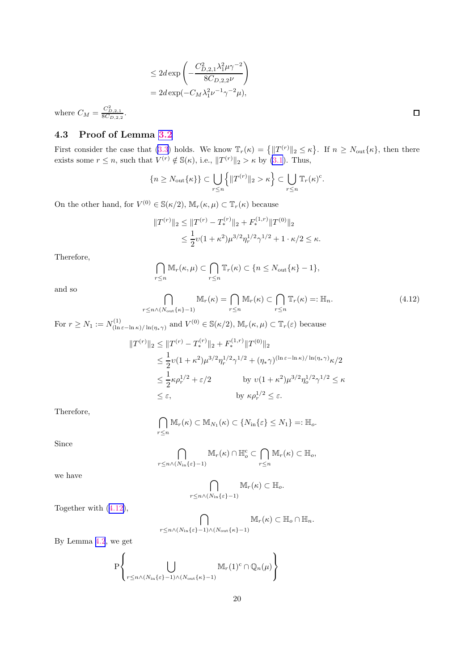$$
\leq 2d \exp\left(-\frac{C_{D,2,1}^2 \lambda_1^2 \mu \gamma^{-2}}{8C_{D,2,2}\nu}\right)
$$
  
= 
$$
2d \exp(-C_M \lambda_1^2 \nu^{-1} \gamma^{-2} \mu),
$$

where  $C_M = \frac{C_{D,2,1}^2}{8C_{D,2,2}}$ .

# 4.3 Proof of Lemma [3.2](#page-9-0)

First consider the case that [\(3.3](#page-9-0)) holds. We know  $\mathbb{T}_r(\kappa) = \{ ||T^{(r)}||_2 \leq \kappa \}$ . If  $n \geq N_{\text{out}}\{\kappa\}$ , then there exists some  $r \leq n$ , such that  $V^{(r)} \notin \mathbb{S}(\kappa)$ , i.e.,  $||T^{(r)}||_2 > \kappa$  by [\(3.1](#page-7-0)). Thus,

$$
\{n \ge N_{\text{out}}\{\kappa\}\} \subset \bigcup_{r \le n} \left\{\|T^{(r)}\|_2 > \kappa\right\} \subset \bigcup_{r \le n} \mathbb{T}_r(\kappa)^c.
$$

On the other hand, for  $V^{(0)} \in \mathbb{S}(\kappa/2)$ ,  $\mathbb{M}_r(\kappa, \mu) \subset \mathbb{T}_r(\kappa)$  because

$$
||T^{(r)}||_2 \le ||T^{(r)} - T_*^{(r)}||_2 + F_*^{(1,r)} ||T^{(0)}||_2
$$
  
 
$$
\le \frac{1}{2} \nu (1 + \kappa^2) \mu^{3/2} \eta_r^{1/2} \gamma^{1/2} + 1 \cdot \kappa/2 \le \kappa.
$$

Therefore,

$$
\bigcap_{r\leq n} \mathbb{M}_r(\kappa,\mu) \subset \bigcap_{r\leq n} \mathbb{T}_r(\kappa) \subset \{n \leq N_{\text{out}}\{\kappa\}-1\},\
$$

and so

$$
\bigcap_{r \leq n \wedge (N_{\text{out}}\{\kappa\}-1)} \mathbb{M}_r(\kappa) = \bigcap_{r \leq n} \mathbb{M}_r(\kappa) \subset \bigcap_{r \leq n} \mathbb{T}_r(\kappa) =: \mathbb{H}_n. \tag{4.12}
$$

For 
$$
r \ge N_1 := N_{(\ln \varepsilon - \ln \kappa)/\ln(\eta_* \gamma)}^{(1)}
$$
 and  $V^{(0)} \in \mathbb{S}(\kappa/2)$ ,  $\mathbb{M}_r(\kappa, \mu) \subset \mathbb{T}_r(\varepsilon)$  because  

$$
||T^{(r)}||_2 \le ||T^{(r)} - T_*^{(r)}||_2 + F_*^{(1,r)} ||T^{(0)}||_2
$$

$$
\le \frac{1}{r} (1 + \frac{2}{r^2}) \frac{3}{r^2} \frac{1}{2} \frac{1}{r^2} \frac{1}{r^2} \frac{1}{r^2} \frac{1}{r^2} \frac{(\ln \varepsilon - \ln \kappa)}{(\ln \varepsilon - \ln \kappa)} \frac{(\ln \varepsilon - \ln \kappa)}{(\ln \varepsilon - \ln \kappa)} \frac{1}{r^2}.
$$

$$
\leq \frac{1}{2}\nu(1+\kappa^2)\mu^{3/2}\eta_r^{1/2}\gamma^{1/2} + (\eta_*\gamma)^{(\ln \varepsilon - \ln \kappa)/\ln(\eta_*\gamma)}\kappa/2
$$
  
\n
$$
\leq \frac{1}{2}\kappa\rho_r^{1/2} + \varepsilon/2 \qquad \text{by } \nu(1+\kappa^2)\mu^{3/2}\eta_o^{1/2}\gamma^{1/2} \leq \kappa
$$
  
\n
$$
\leq \varepsilon, \qquad \text{by } \kappa\rho_r^{1/2} \leq \varepsilon.
$$

Therefore,

$$
\bigcap_{r\leq n} \mathbb{M}_{r}(\kappa) \subset \mathbb{M}_{N_1}(\kappa) \subset \{N_{\text{in}}\{\varepsilon\} \leq N_1\} =: \mathbb{H}_{o}.
$$

Since

$$
\bigcap_{r\leq n\wedge (N_{\text{in}}\{\varepsilon\}-1)}\mathbb{M}_{r}(\kappa)\cap \mathbb{H}_{o}^{\text{c}}\subset \bigcap_{r\leq n}\mathbb{M}_{r}(\kappa)\subset \mathbb{H}_{o},
$$

we have

$$
\bigcap_{r \leq n \wedge (N_{\text{in}}\{\varepsilon\}-1)} \mathbb{M}_r(\kappa) \subset \mathbb{H}_o.
$$

Together with (4.12),

$$
\bigcap_{r\leq n\wedge (N_{\mathrm{in}}\{\varepsilon\}-1)\wedge (N_{\mathrm{out}}\{\kappa\}-1)}\mathbb{M}_{r}(\kappa)\subset \mathbb{H}_{o}\cap \mathbb{H}_{n}.
$$

By Lemma [4.2](#page-17-0), we get

$$
\mathbf{P} \Biggl\{\bigcup_{r \leq n \wedge (N_{\mathrm{in}}\{\varepsilon\}-1) \wedge (N_{\mathrm{out}}\{\kappa\}-1)} \mathbb{M}_r(1)^c \cap \mathbb{Q}_n(\mu) \Biggr\}
$$

 $\Box$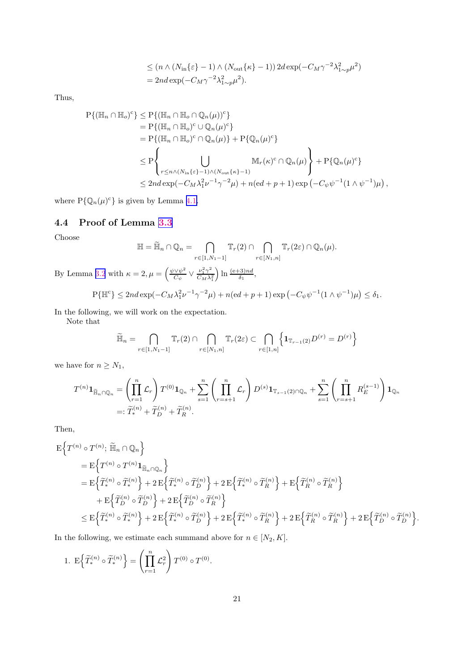$$
\leq (n \wedge (N_{\rm in}\{\varepsilon\} - 1) \wedge (N_{\rm out}\{\kappa\} - 1)) 2d \exp(-C_M \gamma^{-2} \lambda_{1 \sim p}^2 \mu^2)
$$
  
= 2nd \exp(-C\_M \gamma^{-2} \lambda\_{1 \sim p}^2 \mu^2).

Thus,

$$
P\{(\mathbb{H}_n \cap \mathbb{H}_o)^c\} \le P\{(\mathbb{H}_n \cap \mathbb{H}_o \cap \mathbb{Q}_n(\mu))^c\}
$$
  
\n
$$
= P\{(\mathbb{H}_n \cap \mathbb{H}_o)^c \cup \mathbb{Q}_n(\mu)^c\}
$$
  
\n
$$
= P\{(\mathbb{H}_n \cap \mathbb{H}_o)^c \cap \mathbb{Q}_n(\mu)\} + P\{\mathbb{Q}_n(\mu)^c\}
$$
  
\n
$$
\le P\left\{\bigcup_{r \le n \wedge (N_{\text{in}}\{\varepsilon\}-1) \wedge (N_{\text{out}}\{\kappa\}-1)} M_r(\kappa)^c \cap \mathbb{Q}_n(\mu)\right\} + P\{\mathbb{Q}_n(\mu)^c\}
$$
  
\n
$$
\le 2nd \exp(-C_M \lambda_1^2 \nu^{-1} \gamma^{-2} \mu) + n(\varepsilon d + p + 1) \exp(-C_{\psi} \psi^{-1} (1 \wedge \psi^{-1}) \mu),
$$

where  $P\{\mathbb{Q}_n(\mu)^c\}$  is given by Lemma [4.1.](#page-15-0)

## 4.4 Proof of Lemma [3.3](#page-9-0)

Choose

$$
\mathbb{H} = \widetilde{\mathbb{H}}_n \cap \mathbb{Q}_n = \bigcap_{r \in [1, N_1 - 1]} \mathbb{T}_r(2) \cap \bigcap_{r \in [N_1, n]} \mathbb{T}_r(2\varepsilon) \cap \mathbb{Q}_n(\mu).
$$

By Lemma [3.2](#page-9-0) with  $\kappa = 2, \mu = \left(\frac{\psi \vee \psi^2}{C}\right)$  $\frac{\partial \sqrt{\psi^2}}{C_\psi} \vee \frac{\nu_1^2 \gamma^2}{C_M \lambda_1^2}$  $C_M \lambda_1^2$  $\ln \frac{(e+3)nd}{\delta_1},$ 

$$
P\{\mathbb{H}^c\} \le 2nd \exp(-C_M \lambda_1^2 \nu^{-1} \gamma^{-2} \mu) + n(\mathrm{e}d + p + 1) \exp(-C_{\psi} \psi^{-1} (1 \wedge \psi^{-1}) \mu) \le \delta_1.
$$

In the following, we will work on the expectation.

Note that

$$
\widetilde{\mathbb{H}}_n = \bigcap_{r \in [1, N_1 - 1]} \mathbb{T}_r(2) \cap \bigcap_{r \in [N_1, n]} \mathbb{T}_r(2\varepsilon) \subset \bigcap_{r \in [1, n]} \left\{ \mathbf{1}_{\mathbb{T}_{r-1}(2)} D^{(r)} = D^{(r)} \right\}
$$

we have for  $n \geq N_1$ ,

$$
T^{(n)}\mathbf{1}_{\widetilde{\mathbb{H}}_n \cap \mathbb{Q}_n} = \left(\prod_{r=1}^n \mathcal{L}_r\right) T^{(0)} \mathbf{1}_{\mathbb{Q}_n} + \sum_{s=1}^n \left(\prod_{r=s+1}^n \mathcal{L}_r\right) D^{(s)} \mathbf{1}_{\mathbb{T}_{s-1}(2) \cap \mathbb{Q}_n} + \sum_{s=1}^n \left(\prod_{r=s+1}^n R_E^{(s-1)}\right) \mathbf{1}_{\mathbb{Q}_n}
$$
  
=:  $\widetilde{T}_*^{(n)} + \widetilde{T}_D^{(n)} + \widetilde{T}_R^{(n)}$ .

Then,

$$
\begin{split} & \mathbf{E} \Big\{ T^{(n)} \circ T^{(n)}; \, \widetilde{\mathbb{H}}_n \cap \mathbb{Q}_n \Big\} \\ &= \mathbf{E} \Big\{ T^{(n)} \circ T^{(n)} \mathbf{1}_{\widetilde{\mathbb{H}}_n \cap \mathbb{Q}_n} \Big\} \\ &= \mathbf{E} \Big\{ \widetilde{T}^{(n)}_* \circ \widetilde{T}^{(n)}_* \Big\} + 2 \, \mathbf{E} \Big\{ \widetilde{T}^{(n)}_* \circ \widetilde{T}^{(n)}_D \Big\} + 2 \, \mathbf{E} \Big\{ \widetilde{T}^{(n)}_* \circ \widetilde{T}^{(n)}_R \Big\} + \mathbf{E} \Big\{ \widetilde{T}^{(n)}_R \circ \widetilde{T}^{(n)}_R \Big\} \\ &+ \mathbf{E} \Big\{ \widetilde{T}^{(n)}_D \circ \widetilde{T}^{(n)}_D \Big\} + 2 \, \mathbf{E} \Big\{ \widetilde{T}^{(n)}_D \circ \widetilde{T}^{(n)}_R \Big\} \\ &\leq \mathbf{E} \Big\{ \widetilde{T}^{(n)}_* \circ \widetilde{T}^{(n)}_* \Big\} + 2 \, \mathbf{E} \Big\{ \widetilde{T}^{(n)}_* \circ \widetilde{T}^{(n)}_D \Big\} + 2 \, \mathbf{E} \Big\{ \widetilde{T}^{(n)}_* \circ \widetilde{T}^{(n)}_R \Big\} + 2 \, \mathbf{E} \Big\{ \widetilde{T}^{(n)}_* \circ \widetilde{T}^{(n)}_R \Big\} + 2 \, \mathbf{E} \Big\{ \widetilde{T}^{(n)}_R \circ \widetilde{T}^{(n)}_R \Big\} + 2 \, \mathbf{E} \Big\{ \widetilde{T}^{(n)}_R \circ \widetilde{T}^{(n)}_R \Big\} + 2 \, \mathbf{E} \Big\{ \widetilde{T}^{(n)}_R \circ \widetilde{T}^{(n)}_R \Big\} + 2 \, \mathbf{E} \Big\{ \widetilde{T}^{(n)}_R \circ \widetilde{T}^{(n)}_R \Big\} + 2 \, \mathbf{E} \Big\{ \widetilde{T}^{(n)}
$$

In the following, we estimate each summand above for  $n\in [N_2,K].$ 

1. 
$$
E\left\{\widetilde{T}_{*}^{(n)}\circ\widetilde{T}_{*}^{(n)}\right\} = \left(\prod_{r=1}^{n}\mathcal{L}_{r}^{2}\right)T^{(0)}\circ T^{(0)}.
$$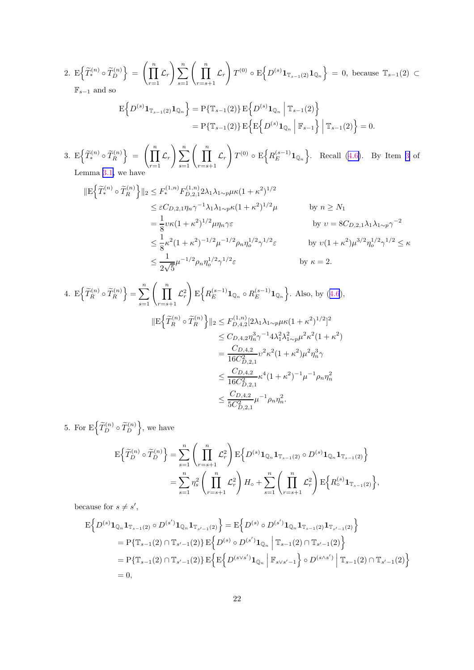2. 
$$
E\left\{\widetilde{T}_{*}^{(n)}\circ\widetilde{T}_{D}^{(n)}\right\} = \left(\prod_{r=1}^{n}\mathcal{L}_{r}\right)\sum_{s=1}^{n}\left(\prod_{r=s+1}^{n}\mathcal{L}_{r}\right)T^{(0)}\circ E\left\{D^{(s)}\mathbf{1}_{\mathbb{T}_{s-1}(2)}\mathbf{1}_{\mathbb{Q}_{n}}\right\} = 0, \text{ because } \mathbb{T}_{s-1}(2) \subset \mathbb{F}_{s-1} \text{ and so}
$$

$$
E\Big\{D^{(s)}\mathbf{1}_{\mathbb{T}_{s-1}(2)}\mathbf{1}_{\mathbb{Q}_n}\Big\} = P\{\mathbb{T}_{s-1}(2)\} E\Big\{D^{(s)}\mathbf{1}_{\mathbb{Q}_n} | \mathbb{T}_{s-1}(2)\Big\}
$$
  
=  $P\{\mathbb{T}_{s-1}(2)\} E\Big\{E\Big\{D^{(s)}\mathbf{1}_{\mathbb{Q}_n} | \mathbb{F}_{s-1}\Big\} | \mathbb{T}_{s-1}(2)\Big\} = 0.$ 

3. E $\left\{ \widetilde{T}_{*}^{(n)} \circ \widetilde{T}_{R}^{(n)} \right\} = \left\{ \prod_{n=1}^{n} \right\}$  $\prod_{r=1}^{n} \mathcal{L}_r \bigg) \sum_{s=1}^{n} \left( \prod_{r=s+1}^{n} \mathcal{L}_r \right)$ !  $T^{(0)} \circ \mathrm{E} \left\{ R_E^{(s-1)} \mathbf{1}_{\mathbb{Q}_n} \right\}$ . Recall [\(4.6\)](#page-14-0). By Item [3](#page-8-0) of Lemma [3.1,](#page-7-0) we have

$$
\|E\{\widetilde{T}_{*}^{(n)} \circ \widetilde{T}_{R}^{(n)}\}\|_{2} \leq F_{*}^{(1,n)} F_{D,2,1}^{(1,n)} 2\lambda_{1} \lambda_{1 \sim p} \mu \kappa (1 + \kappa^{2})^{1/2}
$$
  
\n
$$
\leq \varepsilon C_{D,2,1} \eta_{n} \gamma^{-1} \lambda_{1} \lambda_{1 \sim p} \kappa (1 + \kappa^{2})^{1/2} \mu
$$
  
\n
$$
= \frac{1}{8} v \kappa (1 + \kappa^{2})^{1/2} \mu \eta_{n} \gamma \varepsilon
$$
  
\nby  $v = 8 C_{D,2,1} \lambda_{1} \lambda_{1 \sim p} \gamma^{-2}$   
\nby  $v = 8 C_{D,2,1} \lambda_{1} \lambda_{1 \sim p} \gamma^{-2}$   
\nby  $v = 8 C_{D,2,1} \lambda_{1} \lambda_{1 \sim p} \gamma^{-2}$   
\nby  $v (1 + \kappa^{2}) \mu^{3/2} \eta_{o}^{1/2} \gamma^{1/2} \leq \kappa$   
\n
$$
\leq \frac{1}{2\sqrt{5}} \mu^{-1/2} \rho_{n} \eta_{o}^{1/2} \gamma^{1/2} \varepsilon
$$
  
\nby  $\kappa = 2$ .

4. 
$$
E\left\{\widetilde{T}_R^{(n)} \circ \widetilde{T}_R^{(n)}\right\} = \sum_{s=1}^n \left(\prod_{r=s+1}^n \mathcal{L}_r^2\right) E\left\{R_E^{(s-1)}\mathbf{1}_{\mathbb{Q}_n} \circ R_E^{(s-1)}\mathbf{1}_{\mathbb{Q}_n}\right\}
$$
. Also, by (4.6),  
\n
$$
||E\left\{\widetilde{T}_R^{(n)} \circ \widetilde{T}_R^{(n)}\right\}||_2 \leq F_{D,4,2}^{(1,n)}[2\lambda_1\lambda_{1\sim p}\mu\kappa(1+\kappa^2)^{1/2}]^2
$$
\n
$$
\leq C_{D,4,2}\eta_n^3\gamma^{-1}4\lambda_1^2\lambda_{1\sim p}^2\mu^2\kappa^2(1+\kappa^2)
$$
\n
$$
= \frac{C_{D,4,2}}{16C_{D,2,1}^2}\nu^2\kappa^2(1+\kappa^2)\mu^2\eta_n^3\gamma
$$
\n
$$
\leq \frac{C_{D,4,2}}{16C_{D,2,1}^2}\kappa^4(1+\kappa^2)^{-1}\mu^{-1}\rho_n\eta_n^2
$$
\n
$$
\leq \frac{C_{D,4,2}}{5C_{D,2,1}^2}\mu^{-1}\rho_n\eta_n^2.
$$

5. For  $E\left\{\widetilde{T}_{D}^{(n)}\circ\widetilde{T}_{D}^{(n)}\right\}$ , we have

$$
\mathcal{E}\left\{\widetilde{T}_{D}^{(n)}\circ\widetilde{T}_{D}^{(n)}\right\} = \sum_{s=1}^{n} \left(\prod_{r=s+1}^{n} \mathcal{L}_{r}^{2}\right) \mathcal{E}\left\{D^{(s)}\mathbf{1}_{\mathbb{Q}_{n}}\mathbf{1}_{\mathbb{T}_{s-1}(2)}\circ D^{(s)}\mathbf{1}_{\mathbb{Q}_{n}}\mathbf{1}_{\mathbb{T}_{s-1}(2)}\right\}
$$
\n
$$
= \sum_{s=1}^{n} \eta_{s}^{2} \left(\prod_{r=s+1}^{n} \mathcal{L}_{r}^{2}\right) H_{\circ} + \sum_{s=1}^{n} \left(\prod_{r=s+1}^{n} \mathcal{L}_{r}^{2}\right) \mathcal{E}\left\{R_{\circ}^{(s)}\mathbf{1}_{\mathbb{T}_{s-1}(2)}\right\},
$$

because for  $s \neq s'$ ,

$$
\begin{split} \mathbf{E} \Big\{ D^{(s)} \mathbf{1}_{\mathbb{Q}_n} \mathbf{1}_{\mathbb{T}_{s-1}(2)} \circ D^{(s')} \mathbf{1}_{\mathbb{Q}_n} \mathbf{1}_{\mathbb{T}_{s'-1}(2)} \Big\} &= \mathbf{E} \Big\{ D^{(s)} \circ D^{(s')} \mathbf{1}_{\mathbb{Q}_n} \mathbf{1}_{\mathbb{T}_{s-1}(2)} \mathbf{1}_{\mathbb{T}_{s'-1}(2)} \Big\} \\ &= \mathbf{P} \{ \mathbb{T}_{s-1}(2) \cap \mathbb{T}_{s'-1}(2) \} \, \mathbf{E} \Big\{ D^{(s)} \circ D^{(s')} \mathbf{1}_{\mathbb{Q}_n} \Big| \, \mathbb{T}_{s-1}(2) \cap \mathbb{T}_{s'-1}(2) \Big\} \\ &= \mathbf{P} \{ \mathbb{T}_{s-1}(2) \cap \mathbb{T}_{s'-1}(2) \} \, \mathbf{E} \Big\{ \mathbf{E} \Big\{ D^{(s \vee s')} \mathbf{1}_{\mathbb{Q}_n} \Big| \, \mathbb{F}_{s \vee s'-1} \Big\} \circ D^{(s \wedge s')} \Big| \, \mathbb{T}_{s-1}(2) \cap \mathbb{T}_{s'-1}(2) \Big\} \\ &= 0, \end{split}
$$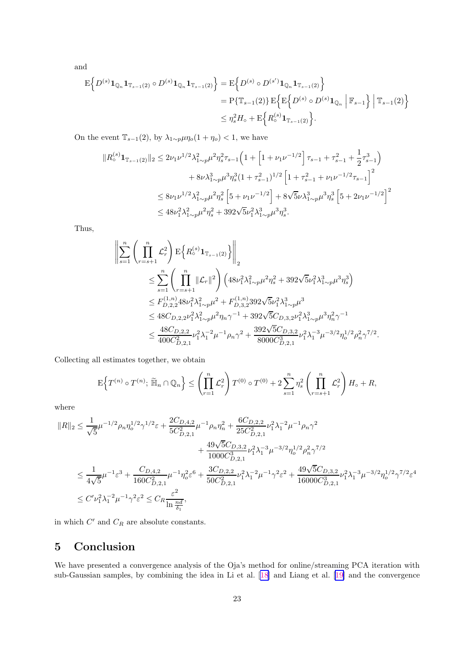<span id="page-22-0"></span>and

$$
E\left\{D^{(s)}\mathbf{1}_{\mathbb{Q}_n}\mathbf{1}_{\mathbb{T}_{s-1}(2)}\circ D^{(s)}\mathbf{1}_{\mathbb{Q}_n}\mathbf{1}_{\mathbb{T}_{s-1}(2)}\right\} = E\left\{D^{(s)}\circ D^{(s')}\mathbf{1}_{\mathbb{Q}_n}\mathbf{1}_{\mathbb{T}_{s-1}(2)}\right\}
$$
  
\n
$$
= P\{\mathbb{T}_{s-1}(2)\} E\left\{E\left\{D^{(s)}\circ D^{(s)}\mathbf{1}_{\mathbb{Q}_n}\middle|\mathbb{F}_{s-1}\right\}\middle|\mathbb{T}_{s-1}(2)\right\}
$$
  
\n
$$
\leq \eta_s^2 H_\circ + E\left\{R^{(s)}\mathbf{1}_{\mathbb{T}_{s-1}(2)}\right\}.
$$

On the event  $\mathbb{T}_{s-1}(2)$ , by  $\lambda_{1\sim p}\mu\eta_o(1+\eta_o) < 1$ , we have

$$
\begin{split} \|R_{\circ}^{(s)}\mathbf{1}_{\mathbb{T}_{s-1}(2)}\|_{2} &\leq 2\nu_{1}\nu^{1/2}\lambda_{1\sim p}^{2}\mu^{2}\eta_{s}^{2}\tau_{s-1}\left(1+\left[1+\nu_{1}\nu^{-1/2}\right]\tau_{s-1}+\tau_{s-1}^{2}+\frac{1}{2}\tau_{s-1}^{3}\right) \\ &+8\nu\lambda_{1\sim p}^{3}\mu^{3}\eta_{s}^{3}(1+\tau_{s-1}^{2})^{1/2}\left[1+\tau_{s-1}^{2}+\nu_{1}\nu^{-1/2}\tau_{s-1}\right]^{2} \\ &\leq 8\nu_{1}\nu^{1/2}\lambda_{1\sim p}^{2}\mu^{2}\eta_{s}^{2}\left[5+\nu_{1}\nu^{-1/2}\right]+8\sqrt{5}\nu\lambda_{1\sim p}^{3}\mu^{3}\eta_{s}^{3}\left[5+2\nu_{1}\nu^{-1/2}\right]^{2} \\ &\leq 48\nu_{1}^{2}\lambda_{1\sim p}^{2}\mu^{2}\eta_{s}^{2}+392\sqrt{5}\nu_{1}^{2}\lambda_{1\sim p}^{3}\mu^{3}\eta_{s}^{3}. \end{split}
$$

Thus,

$$
\sum_{s=1}^{n} \left( \prod_{r=s+1}^{n} \mathcal{L}_{r}^{2} \right) \mathbb{E} \left\{ R_{\circ}^{(s)} \mathbf{1}_{\mathbb{T}_{s-1}(2)} \right\} \Big|_{2} \n\leq \sum_{s=1}^{n} \left( \prod_{r=s+1}^{n} ||\mathcal{L}_{r}||^{2} \right) \left( 48\nu_{1}^{2} \lambda_{1\sim p}^{2} \mu^{2} \eta_{s}^{2} + 392\sqrt{5}\nu_{1}^{2} \lambda_{1\sim p}^{3} \mu^{3} \eta_{s}^{3} \right) \n\leq F_{D,2,2}^{(1,n)} 48\nu_{1}^{2} \lambda_{1\sim p}^{2} \mu^{2} + F_{D,3,2}^{(1,n)} 392\sqrt{5}\nu_{1}^{2} \lambda_{1\sim p}^{3} \mu^{3} \n\leq 48 C_{D,2,2}\nu_{1}^{2} \lambda_{1\sim p}^{2} \mu^{2} \eta_{n} \gamma^{-1} + 392\sqrt{5} C_{D,3,2}\nu_{1}^{2} \lambda_{1\sim p}^{3} \mu^{3} \eta_{n}^{2} \gamma^{-1} \n\leq \frac{48 C_{D,2,2}}{400 C_{D,2,1}^{2}} \nu_{1}^{2} \lambda_{1}^{-2} \mu^{-1} \rho_{n} \gamma^{2} + \frac{392\sqrt{5} C_{D,3,2}}{8000 C_{D,2,1}^{3}} \nu_{1}^{2} \lambda_{1}^{-3} \mu^{-3/2} \eta_{o}^{1/2} \rho_{n}^{2} \gamma^{7/2}.
$$

Collecting all estimates together, we obtain

$$
\mathbf{E}\Big\{T^{(n)}\circ T^{(n)};~\widetilde{\mathbb{H}}_n\cap\mathbb{Q}_n\Big\}\leq \left(\prod_{r=1}^n\mathcal{L}_r^2\right)T^{(0)}\circ T^{(0)}+2\sum_{s=1}^n\eta_s^2\left(\prod_{r=s+1}^n\mathcal{L}_r^2\right)H_\diamond+R,
$$

where

$$
\begin{aligned} \|R\|_2 &\leq \frac{1}{\sqrt{5}}\mu^{-1/2}\rho_n\eta_o^{1/2}\gamma^{1/2}\varepsilon + \frac{2C_{D,4,2}}{5C_{D,2,1}^2}\mu^{-1}\rho_n\eta_n^2 + \frac{6C_{D,2,2}}{25C_{D,2,1}^2}\nu_1^2\lambda_1^{-2}\mu^{-1}\rho_n\gamma^2 \\ &+ \frac{49\sqrt{5}C_{D,3,2}}{1000C_{D,2,1}^3}\nu_1^2\lambda_1^{-3}\mu^{-3/2}\eta_o^{1/2}\rho_n^2\gamma^{7/2} \\ &\leq \frac{1}{4\sqrt{5}}\mu^{-1}\varepsilon^3 + \frac{C_{D,4,2}}{160C_{D,2,1}^2}\mu^{-1}\eta_o^2\varepsilon^6 + \frac{3C_{D,2,2}}{50C_{D,2,1}^2}\nu_1^2\lambda_1^{-2}\mu^{-1}\gamma^2\varepsilon^2 + \frac{49\sqrt{5}C_{D,3,2}}{16000C_{D,2,1}^3}\nu_1^2\lambda_1^{-3}\mu^{-3/2}\eta_o^{1/2}\gamma^{7/2}\varepsilon^4 \\ &\leq C'\nu_1^2\lambda_1^{-2}\mu^{-1}\gamma^2\varepsilon^2 \leq C_R\frac{\varepsilon^2}{\ln\frac{n d}{\delta_1}}, \end{aligned}
$$

in which  $C'$  and  $C_R$  are absolute constants.

# 5 Conclusion

We have presented a convergence analysis of the Oja's method for online/streaming PCA iteration with sub-Gaussian samples, by combining the idea in Li et al.[[18\]](#page-23-0) and Liang et al.[[19\]](#page-24-0) and the convergence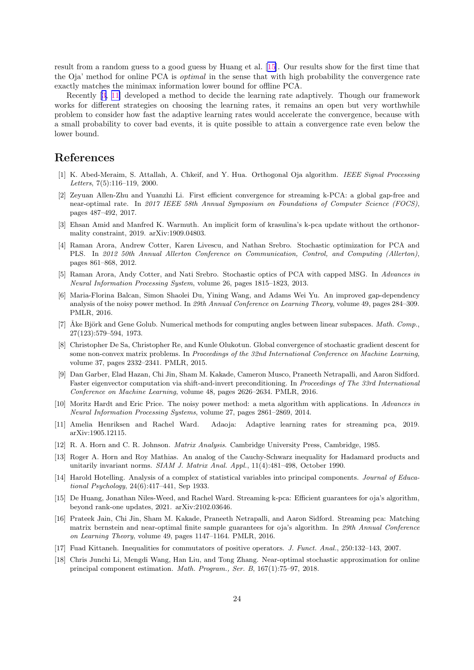<span id="page-23-0"></span>result from a random guess to a good guess by Huang et al. [15]. Our results show for the first time that the Oja' method for online PCA is *optimal* in the sense that with high probability the convergence rate exactly matches the minimax information lower bound for offline PCA.

Recently [3, 11] developed a method to decide the learning rate adaptively. Though our framework works for different strategies on choosing the learning rates, it remains an open but very worthwhile problem to consider how fast the adaptive learning rates would accelerate the convergence, because with a small probability to cover bad events, it is quite possible to attain a convergence rate even below the lower bound.

# References

- [1] K. Abed-Meraim, S. Attallah, A. Chkeif, and Y. Hua. Orthogonal Oja algorithm. *IEEE Signal Processing Letters*, 7(5):116–119, 2000.
- [2] Zeyuan Allen-Zhu and Yuanzhi Li. First efficient convergence for streaming k-PCA: a global gap-free and near-optimal rate. In *2017 IEEE 58th Annual Symposium on Foundations of Computer Science (FOCS)*, pages 487–492, 2017.
- [3] Ehsan Amid and Manfred K. Warmuth. An implicit form of krasulina's k-pca update without the orthonormality constraint, 2019. arXiv:1909.04803.
- [4] Raman Arora, Andrew Cotter, Karen Livescu, and Nathan Srebro. Stochastic optimization for PCA and PLS. In *2012 50th Annual Allerton Conference on Communication, Control, and Computing (Allerton)*, pages 861–868, 2012.
- [5] Raman Arora, Andy Cotter, and Nati Srebro. Stochastic optics of PCA with capped MSG. In *Advances in Neural Information Processing System*, volume 26, pages 1815–1823, 2013.
- [6] Maria-Florina Balcan, Simon Shaolei Du, Yining Wang, and Adams Wei Yu. An improved gap-dependency analysis of the noisy power method. In *29th Annual Conference on Learning Theory*, volume 49, pages 284–309. PMLR, 2016.
- [7] Åke Björk and Gene Golub. Numerical methods for computing angles between linear subspaces. *Math. Comp.*, 27(123):579–594, 1973.
- [8] Christopher De Sa, Christopher Re, and Kunle Olukotun. Global convergence of stochastic gradient descent for some non-convex matrix problems. In *Proceedings of the 32nd International Conference on Machine Learning*, volume 37, pages 2332–2341. PMLR, 2015.
- [9] Dan Garber, Elad Hazan, Chi Jin, Sham M. Kakade, Cameron Musco, Praneeth Netrapalli, and Aaron Sidford. Faster eigenvector computation via shift-and-invert preconditioning. In *Proceedings of The 33rd International Conference on Machine Learning*, volume 48, pages 2626–2634. PMLR, 2016.
- [10] Moritz Hardt and Eric Price. The noisy power method: a meta algorithm with applications. In *Advances in Neural Information Processing Systems*, volume 27, pages 2861–2869, 2014.
- [11] Amelia Henriksen and Rachel Ward. Adaoja: Adaptive learning rates for streaming pca, 2019. arXiv:1905.12115.
- [12] R. A. Horn and C. R. Johnson. *Matrix Analysis*. Cambridge University Press, Cambridge, 1985.
- [13] Roger A. Horn and Roy Mathias. An analog of the Cauchy-Schwarz inequality for Hadamard products and unitarily invariant norms. *SIAM J. Matrix Anal. Appl.*, 11(4):481–498, October 1990.
- [14] Harold Hotelling. Analysis of a complex of statistical variables into principal components. *Journal of Educational Psychology*, 24(6):417–441, Sep 1933.
- [15] De Huang, Jonathan Niles-Weed, and Rachel Ward. Streaming k-pca: Efficient guarantees for oja's algorithm, beyond rank-one updates, 2021. arXiv:2102.03646.
- [16] Prateek Jain, Chi Jin, Sham M. Kakade, Praneeth Netrapalli, and Aaron Sidford. Streaming pca: Matching matrix bernstein and near-optimal finite sample guarantees for oja's algorithm. In *29th Annual Conference on Learning Theory*, volume 49, pages 1147–1164. PMLR, 2016.
- [17] Fuad Kittaneh. Inequalities for commutators of positive operators. *J. Funct. Anal.*, 250:132–143, 2007.
- [18] Chris Junchi Li, Mengdi Wang, Han Liu, and Tong Zhang. Near-optimal stochastic approximation for online principal component estimation. *Math. Program., Ser. B*, 167(1):75–97, 2018.